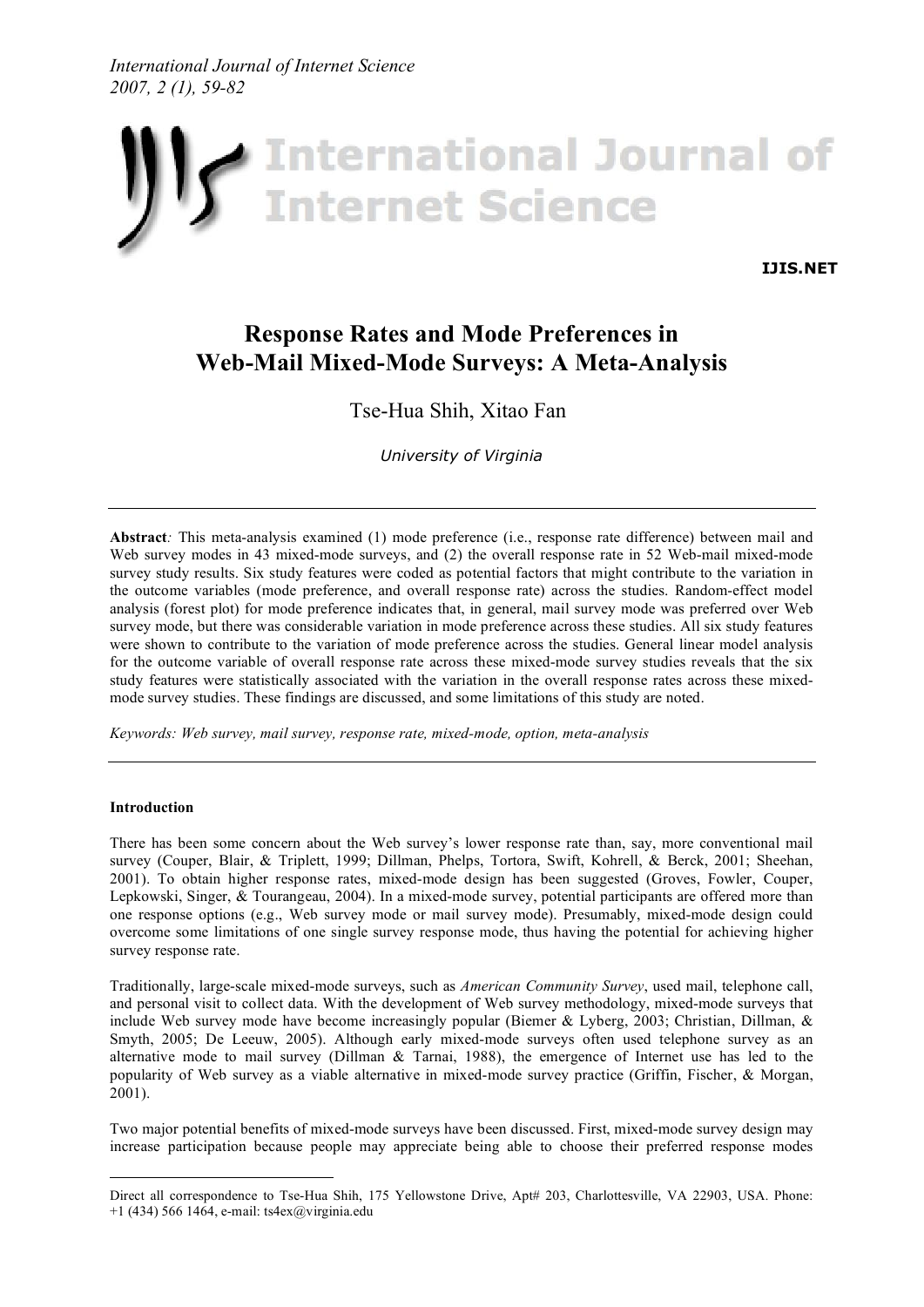

**[IJIS.NET](http://www.ijis.net)**

# **Response Rates and Mode Preferences in Web-Mail Mixed-Mode Surveys: A Meta-Analysis**

# Tse-Hua Shih, Xitao Fan

*University of Virginia*

**Abstract***:* This meta-analysis examined (1) mode preference (i.e., response rate difference) between mail and Web survey modes in 43 mixed-mode surveys, and (2) the overall response rate in 52 Web-mail mixed-mode survey study results. Six study features were coded as potential factors that might contribute to the variation in the outcome variables (mode preference, and overall response rate) across the studies. Random-effect model analysis (forest plot) for mode preference indicates that, in general, mail survey mode was preferred over Web survey mode, but there was considerable variation in mode preference across these studies. All six study features were shown to contribute to the variation of mode preference across the studies. General linear model analysis for the outcome variable of overall response rate across these mixed-mode survey studies reveals that the six study features were statistically associated with the variation in the overall response rates across these mixedmode survey studies. These findings are discussed, and some limitations of this study are noted.

*Keywords: Web survey, mail survey, response rate, mixed-mode, option, meta-analysis*

#### **Introduction**

There has been some concern about the Web survey's lower response rate than, say, more conventional mail survey (Couper, Blair, & Triplett, 1999; Dillman, Phelps, Tortora, Swift, Kohrell, & Berck, 2001; Sheehan, 2001). To obtain higher response rates, mixed-mode design has been suggested (Groves, Fowler, Couper, Lepkowski, Singer, & Tourangeau, 2004). In a mixed-mode survey, potential participants are offered more than one response options (e.g., Web survey mode or mail survey mode). Presumably, mixed-mode design could overcome some limitations of one single survey response mode, thus having the potential for achieving higher survey response rate.

Traditionally, large-scale mixed-mode surveys, such as *American Community Survey*, used mail, telephone call, and personal visit to collect data. With the development of Web survey methodology, mixed-mode surveys that include Web survey mode have become increasingly popular (Biemer & Lyberg, 2003; Christian, Dillman, & Smyth, 2005; De Leeuw, 2005). Although early mixed-mode surveys often used telephone survey as an alternative mode to mail survey (Dillman & Tarnai, 1988), the emergence of Internet use has led to the popularity of Web survey as a viable alternative in mixed-mode survey practice (Griffin, Fischer, & Morgan, 2001).

Two major potential benefits of mixed-mode surveys have been discussed. First, mixed-mode survey design may increase participation because people may appreciate being able to choose their preferred response modes

Direct all correspondence to Tse-Hua Shih, <sup>175</sup> Yellowstone Drive, Apt# 203, Charlottesville, VA 22903, USA. Phone: +1 (434) 566 1464, e-mail: [ts4ex@virginia.edu](mailto:ts4ex@virginia.edu)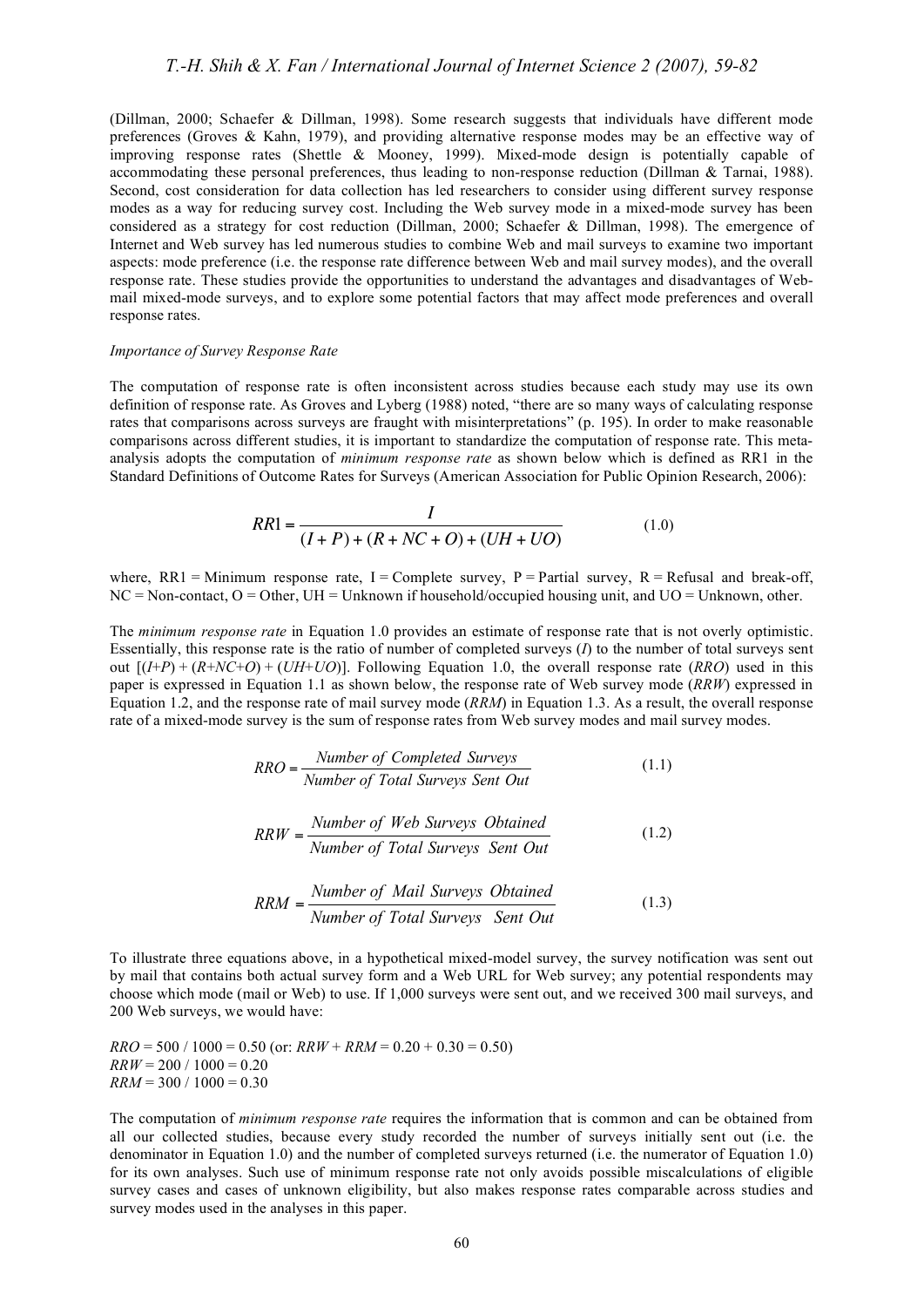(Dillman, 2000; Schaefer & Dillman, 1998). Some research suggests that individuals have different mode preferences (Groves & Kahn, 1979), and providing alternative response modes may be an effective way of improving response rates (Shettle & Mooney, 1999). Mixed-mode design is potentially capable of accommodating these personal preferences, thus leading to non-response reduction (Dillman & Tarnai, 1988). Second, cost consideration for data collection has led researchers to consider using different survey response modes as a way for reducing survey cost. Including the Web survey mode in a mixed-mode survey has been considered as a strategy for cost reduction (Dillman, 2000; Schaefer & Dillman, 1998). The emergence of Internet and Web survey has led numerous studies to combine Web and mail surveys to examine two important aspects: mode preference (i.e. the response rate difference between Web and mail survey modes), and the overall response rate. These studies provide the opportunities to understand the advantages and disadvantages of Webmail mixed-mode surveys, and to explore some potential factors that may affect mode preferences and overall response rates.

#### *Importance of Survey Response Rate*

The computation of response rate is often inconsistent across studies because each study may use its own definition of response rate. As Groves and Lyberg (1988) noted, "there are so many ways of calculating response rates that comparisons across surveys are fraught with misinterpretations" (p. 195). In order to make reasonable comparisons across different studies, it is important to standardize the computation of response rate. This metaanalysis adopts the computation of *minimum response rate* as shown below which is defined as RR1 in the Standard Definitions of Outcome Rates for Surveys (American Association for Public Opinion Research, 2006):

$$
RR1 = \frac{I}{(I+P) + (R+NC+O) + (UH+UO)}
$$
(1.0)

where,  $RR1 =$  Minimum response rate, I = Complete survey, P = Partial survey, R = Refusal and break-off, NC = Non-contact, O = Other, UH = Unknown if household/occupied housing unit, and UO = Unknown, other.

! The *minimum response rate* in Equation 1.0 provides an estimate of response rate that is not overly optimistic. Essentially, this response rate is the ratio of number of completed surveys (*I*) to the number of total surveys sent out  $[(I+P)+(R+NC+O)+(UH+UO)]$ . Following Equation 1.0, the overall response rate  $(RRO)$  used in this paper is expressed in Equation 1.1 as shown below, the response rate of Web survey mode (*RRW*) expressed in Equation 1.2, and the response rate of mail survey mode (*RRM*) in Equation 1.3. As a result, the overall response rate of a mixed-mode survey is the sum of response rates from Web survey modes and mail survey modes.

$$
RRO = \frac{Number\ of\ Complete\ Surveys}{Number\ of\ Total\ Surveys\ Sent\ Out} \tag{1.1}
$$

$$
RRW = \frac{Number\ of\ Web\ Surveys\ Obtained}{Number\ of\ Total\ Surveys\ Sent\ Out} \tag{1.2}
$$

$$
RRM = \frac{Number\ of\ Mail\ Surveys\ Obtained}{Number\ of\ Total\ Surveys\ Sent\ Out} \tag{1.3}
$$

To illustrate three equations above, in a hypothetical mixed-model survey, the survey notification was sent out by mail that contains both actual survey form and a Web URL for Web survey; any potential respondents may choose which mode (mail or Web) to use. If 1,000 surveys were sent out, and we received 300 mail surveys, and 200 Web surveys, we would have:

 $RRO = 500 / 1000 = 0.50$  (or:  $RRW + RRM = 0.20 + 0.30 = 0.50$ )  $RRW = 200 / 1000 = 0.20$  $RRM = 300 / 1000 = 0.30$ 

The computation of *minimum response rate* requires the information that is common and can be obtained from all our collected studies, because every study recorded the number of surveys initially sent out (i.e. the denominator in Equation 1.0) and the number of completed surveys returned (i.e. the numerator of Equation 1.0) for its own analyses. Such use of minimum response rate not only avoids possible miscalculations of eligible survey cases and cases of unknown eligibility, but also makes response rates comparable across studies and survey modes used in the analyses in this paper.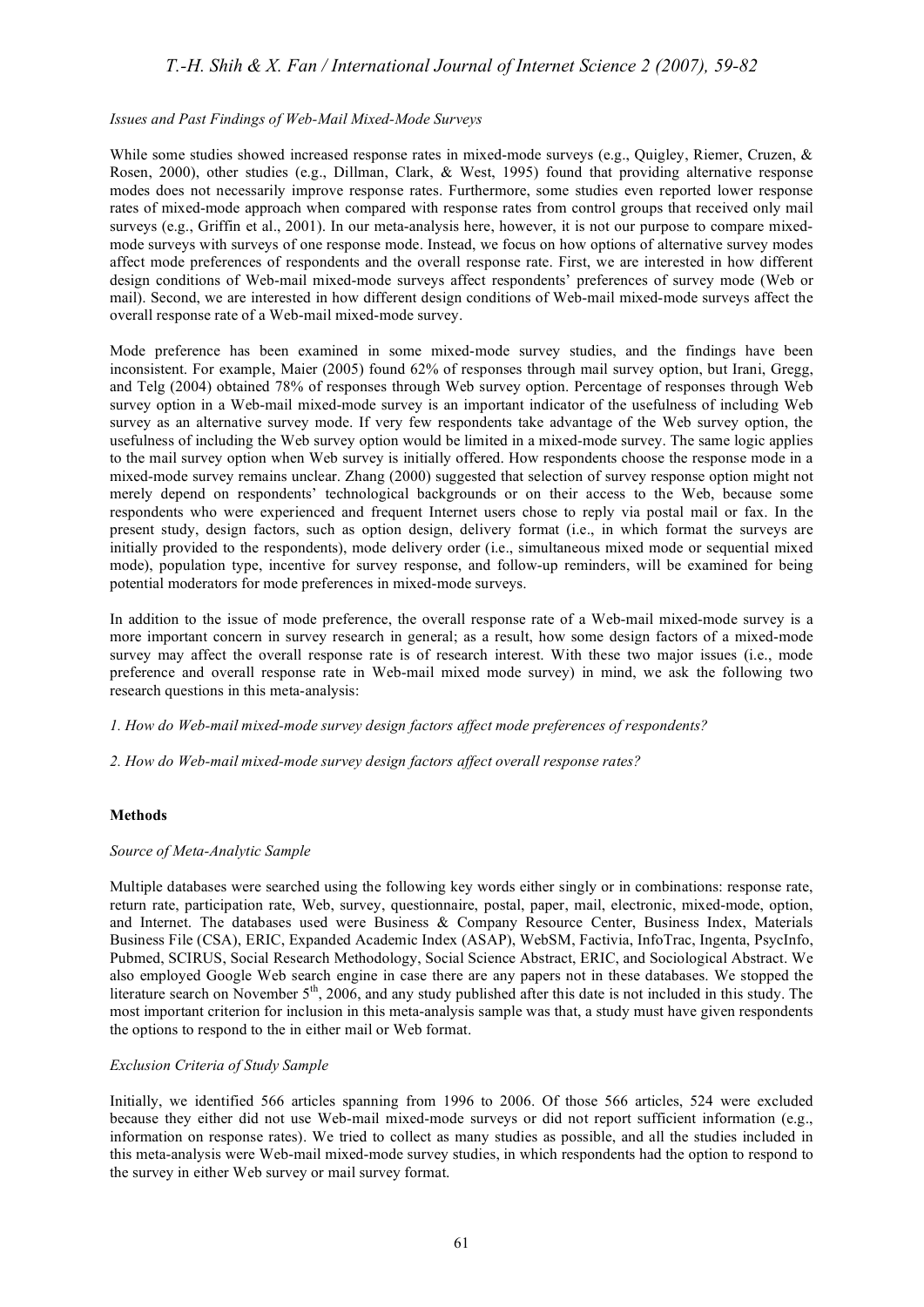#### *Issues and Past Findings of Web-Mail Mixed-Mode Surveys*

While some studies showed increased response rates in mixed-mode surveys (e.g., Quigley, Riemer, Cruzen, & Rosen, 2000), other studies (e.g., Dillman, Clark, & West, 1995) found that providing alternative response modes does not necessarily improve response rates. Furthermore, some studies even reported lower response rates of mixed-mode approach when compared with response rates from control groups that received only mail surveys (e.g., Griffin et al., 2001). In our meta-analysis here, however, it is not our purpose to compare mixedmode surveys with surveys of one response mode. Instead, we focus on how options of alternative survey modes affect mode preferences of respondents and the overall response rate. First, we are interested in how different design conditions of Web-mail mixed-mode surveys affect respondents' preferences of survey mode (Web or mail). Second, we are interested in how different design conditions of Web-mail mixed-mode surveys affect the overall response rate of a Web-mail mixed-mode survey.

Mode preference has been examined in some mixed-mode survey studies, and the findings have been inconsistent. For example, Maier (2005) found 62% of responses through mail survey option, but Irani, Gregg, and Telg (2004) obtained 78% of responses through Web survey option. Percentage of responses through Web survey option in a Web-mail mixed-mode survey is an important indicator of the usefulness of including Web survey as an alternative survey mode. If very few respondents take advantage of the Web survey option, the usefulness of including the Web survey option would be limited in a mixed-mode survey. The same logic applies to the mail survey option when Web survey is initially offered. How respondents choose the response mode in a mixed-mode survey remains unclear. Zhang (2000) suggested that selection of survey response option might not merely depend on respondents' technological backgrounds or on their access to the Web, because some respondents who were experienced and frequent Internet users chose to reply via postal mail or fax. In the present study, design factors, such as option design, delivery format (i.e., in which format the surveys are initially provided to the respondents), mode delivery order (i.e., simultaneous mixed mode or sequential mixed mode), population type, incentive for survey response, and follow-up reminders, will be examined for being potential moderators for mode preferences in mixed-mode surveys.

In addition to the issue of mode preference, the overall response rate of a Web-mail mixed-mode survey is a more important concern in survey research in general; as a result, how some design factors of a mixed-mode survey may affect the overall response rate is of research interest. With these two major issues (i.e., mode preference and overall response rate in Web-mail mixed mode survey) in mind, we ask the following two research questions in this meta-analysis:

*1. How do Web-mail mixed-mode survey design factors affect mode preferences of respondents?*

*2. How do Web-mail mixed-mode survey design factors affect overall response rates?*

#### **Methods**

#### *Source of Meta-Analytic Sample*

Multiple databases were searched using the following key words either singly or in combinations: response rate, return rate, participation rate, Web, survey, questionnaire, postal, paper, mail, electronic, mixed-mode, option, and Internet. The databases used were Business & Company Resource Center, Business Index, Materials Business File (CSA), ERIC, Expanded Academic Index (ASAP), WebSM, Factivia, InfoTrac, Ingenta, PsycInfo, Pubmed, SCIRUS, Social Research Methodology, Social Science Abstract, ERIC, and Sociological Abstract. We also employed Google Web search engine in case there are any papers not in these databases. We stopped the literature search on November 5<sup>th</sup>, 2006, and any study published after this date is not included in this study. The most important criterion for inclusion in this meta-analysis sample was that, a study must have given respondents the options to respond to the in either mail or Web format.

#### *Exclusion Criteria of Study Sample*

Initially, we identified 566 articles spanning from 1996 to 2006. Of those 566 articles, 524 were excluded because they either did not use Web-mail mixed-mode surveys or did not report sufficient information (e.g., information on response rates). We tried to collect as many studies as possible, and all the studies included in this meta-analysis were Web-mail mixed-mode survey studies, in which respondents had the option to respond to the survey in either Web survey or mail survey format.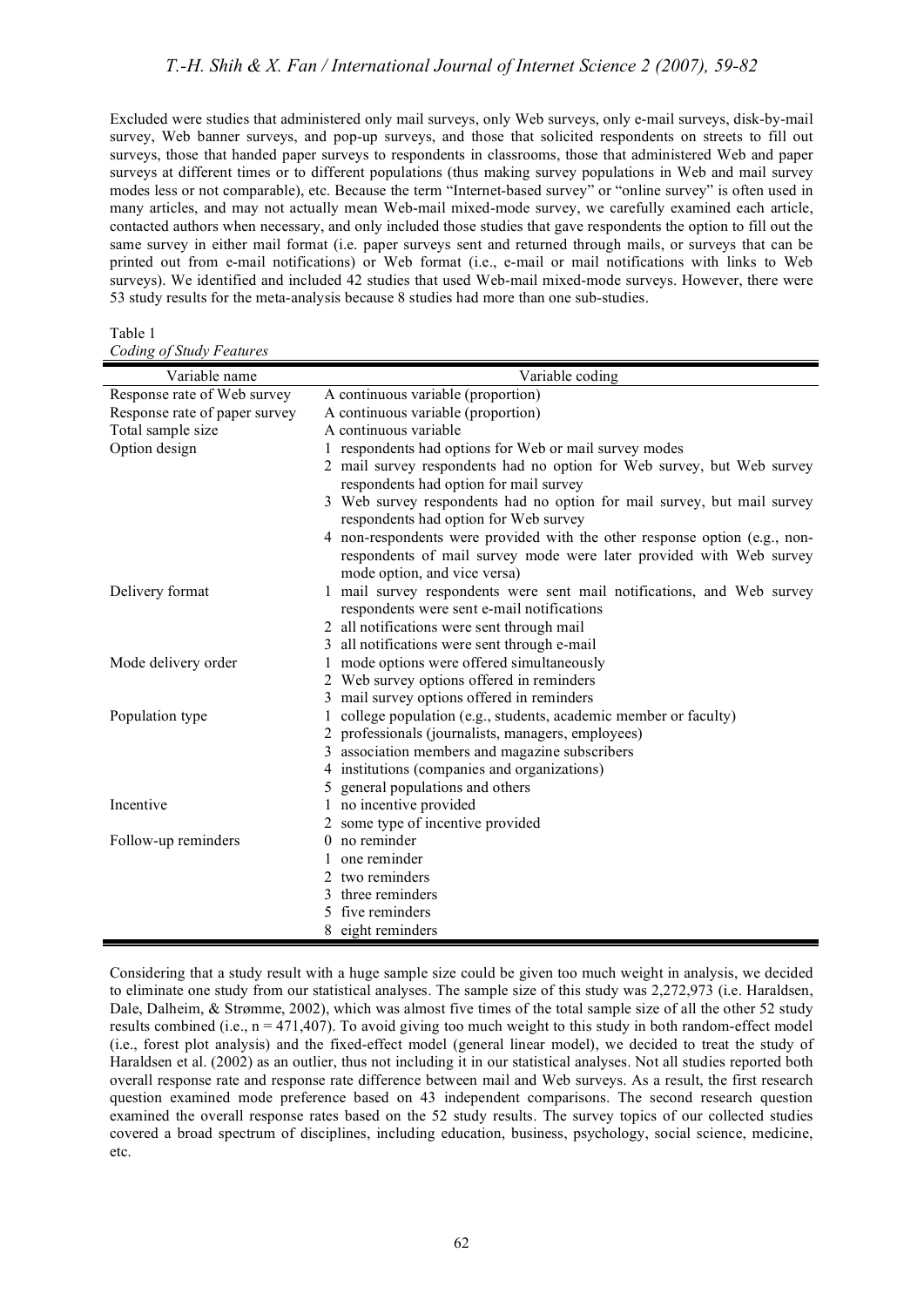Excluded were studies that administered only mail surveys, only Web surveys, only e-mail surveys, disk-by-mail survey, Web banner surveys, and pop-up surveys, and those that solicited respondents on streets to fill out surveys, those that handed paper surveys to respondents in classrooms, those that administered Web and paper surveys at different times or to different populations (thus making survey populations in Web and mail survey modes less or not comparable), etc. Because the term "Internet-based survey" or "online survey" is often used in many articles, and may not actually mean Web-mail mixed-mode survey, we carefully examined each article, contacted authors when necessary, and only included those studies that gave respondents the option to fill out the same survey in either mail format (i.e. paper surveys sent and returned through mails, or surveys that can be printed out from e-mail notifications) or Web format (i.e., e-mail or mail notifications with links to Web surveys). We identified and included 42 studies that used Web-mail mixed-mode surveys. However, there were 53 study results for the meta-analysis because 8 studies had more than one sub-studies.

Table 1 *Coding of Study Features*

| Variable name                 | Variable coding                                                                                                                                   |
|-------------------------------|---------------------------------------------------------------------------------------------------------------------------------------------------|
| Response rate of Web survey   | A continuous variable (proportion)                                                                                                                |
| Response rate of paper survey | A continuous variable (proportion)                                                                                                                |
| Total sample size             | A continuous variable                                                                                                                             |
| Option design                 | 1 respondents had options for Web or mail survey modes                                                                                            |
|                               | 2 mail survey respondents had no option for Web survey, but Web survey<br>respondents had option for mail survey                                  |
|                               | 3 Web survey respondents had no option for mail survey, but mail survey<br>respondents had option for Web survey                                  |
|                               | 4 non-respondents were provided with the other response option (e.g., non-<br>respondents of mail survey mode were later provided with Web survey |
|                               | mode option, and vice versa)                                                                                                                      |
| Delivery format               | 1 mail survey respondents were sent mail notifications, and Web survey<br>respondents were sent e-mail notifications                              |
|                               | 2 all notifications were sent through mail                                                                                                        |
|                               | 3 all notifications were sent through e-mail                                                                                                      |
| Mode delivery order           | mode options were offered simultaneously                                                                                                          |
|                               | 2 Web survey options offered in reminders                                                                                                         |
|                               | 3 mail survey options offered in reminders                                                                                                        |
| Population type               | college population (e.g., students, academic member or faculty)                                                                                   |
|                               | 2 professionals (journalists, managers, employees)                                                                                                |
|                               | association members and magazine subscribers<br>3                                                                                                 |
|                               | 4 institutions (companies and organizations)                                                                                                      |
|                               | general populations and others<br>5                                                                                                               |
| Incentive                     | no incentive provided                                                                                                                             |
|                               | 2 some type of incentive provided                                                                                                                 |
| Follow-up reminders           | $0$ no reminder                                                                                                                                   |
|                               | one reminder                                                                                                                                      |
|                               | two reminders<br>$\mathfrak{D}$                                                                                                                   |
|                               | three reminders                                                                                                                                   |
|                               | five reminders                                                                                                                                    |
|                               | 8 eight reminders                                                                                                                                 |

Considering that a study result with a huge sample size could be given too much weight in analysis, we decided to eliminate one study from our statistical analyses. The sample size of this study was 2,272,973 (i.e. Haraldsen, Dale, Dalheim, & Strømme, 2002), which was almost five times of the total sample size of all the other 52 study results combined (i.e.,  $n = 471,407$ ). To avoid giving too much weight to this study in both random-effect model (i.e., forest plot analysis) and the fixed-effect model (general linear model), we decided to treat the study of Haraldsen et al. (2002) as an outlier, thus not including it in our statistical analyses. Not all studies reported both overall response rate and response rate difference between mail and Web surveys. As a result, the first research question examined mode preference based on 43 independent comparisons. The second research question examined the overall response rates based on the 52 study results. The survey topics of our collected studies covered a broad spectrum of disciplines, including education, business, psychology, social science, medicine, etc.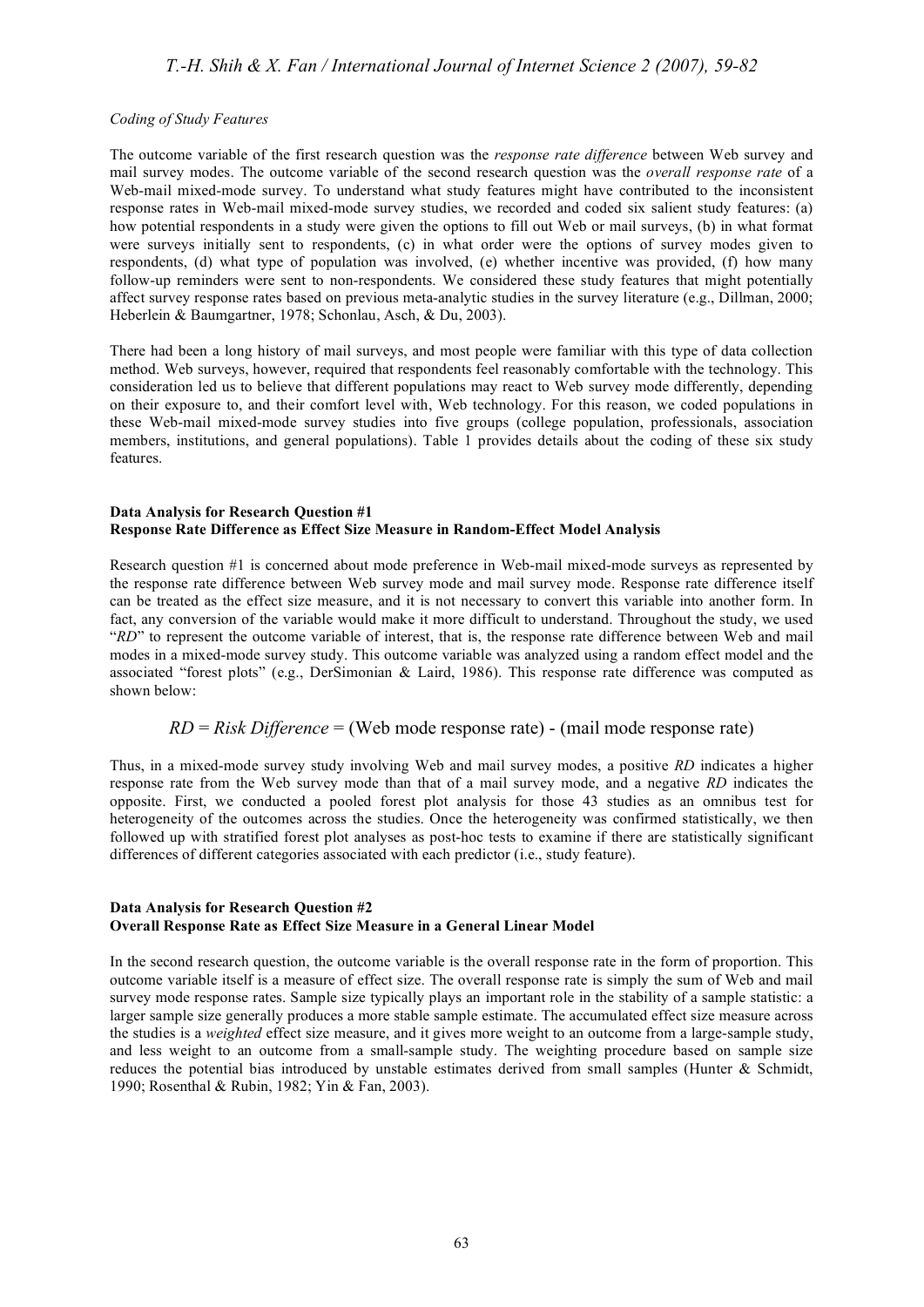#### *Coding of Study Features*

The outcome variable of the first research question was the *response rate difference* between Web survey and mail survey modes. The outcome variable of the second research question was the *overall response rate* of a Web-mail mixed-mode survey. To understand what study features might have contributed to the inconsistent response rates in Web-mail mixed-mode survey studies, we recorded and coded six salient study features: (a) how potential respondents in a study were given the options to fill out Web or mail surveys, (b) in what format were surveys initially sent to respondents, (c) in what order were the options of survey modes given to respondents, (d) what type of population was involved, (e) whether incentive was provided, (f) how many follow-up reminders were sent to non-respondents. We considered these study features that might potentially affect survey response rates based on previous meta-analytic studies in the survey literature (e.g., Dillman, 2000; Heberlein & Baumgartner, 1978; Schonlau, Asch, & Du, 2003).

There had been a long history of mail surveys, and most people were familiar with this type of data collection method. Web surveys, however, required that respondents feel reasonably comfortable with the technology. This consideration led us to believe that different populations may react to Web survey mode differently, depending on their exposure to, and their comfort level with, Web technology. For this reason, we coded populations in these Web-mail mixed-mode survey studies into five groups (college population, professionals, association members, institutions, and general populations). Table 1 provides details about the coding of these six study features.

#### **Data Analysis for Research Question #1 Response Rate Difference as Effect Size Measure in Random-Effect Model Analysis**

Research question #1 is concerned about mode preference in Web-mail mixed-mode surveys as represented by the response rate difference between Web survey mode and mail survey mode. Response rate difference itself can be treated as the effect size measure, and it is not necessary to convert this variable into another form. In fact, any conversion of the variable would make it more difficult to understand. Throughout the study, we used "*RD*" to represent the outcome variable of interest, that is, the response rate difference between Web and mail modes in a mixed-mode survey study. This outcome variable was analyzed using a random effect model and the associated "forest plots" (e.g., DerSimonian & Laird, 1986). This response rate difference was computed as shown below:

### *RD* = *Risk Difference* = (Web mode response rate) - (mail mode response rate)

Thus, in a mixed-mode survey study involving Web and mail survey modes, a positive *RD* indicates a higher response rate from the Web survey mode than that of a mail survey mode, and a negative *RD* indicates the opposite. First, we conducted a pooled forest plot analysis for those 43 studies as an omnibus test for heterogeneity of the outcomes across the studies. Once the heterogeneity was confirmed statistically, we then followed up with stratified forest plot analyses as post-hoc tests to examine if there are statistically significant differences of different categories associated with each predictor (i.e., study feature).

#### **Data Analysis for Research Question #2 Overall Response Rate as Effect Size Measure in a General Linear Model**

In the second research question, the outcome variable is the overall response rate in the form of proportion. This outcome variable itself is a measure of effect size. The overall response rate is simply the sum of Web and mail survey mode response rates. Sample size typically plays an important role in the stability of a sample statistic: a larger sample size generally produces a more stable sample estimate. The accumulated effect size measure across the studies is a *weighted* effect size measure, and it gives more weight to an outcome from a large-sample study, and less weight to an outcome from a small-sample study. The weighting procedure based on sample size reduces the potential bias introduced by unstable estimates derived from small samples (Hunter & Schmidt, 1990; Rosenthal & Rubin, 1982; Yin & Fan, 2003).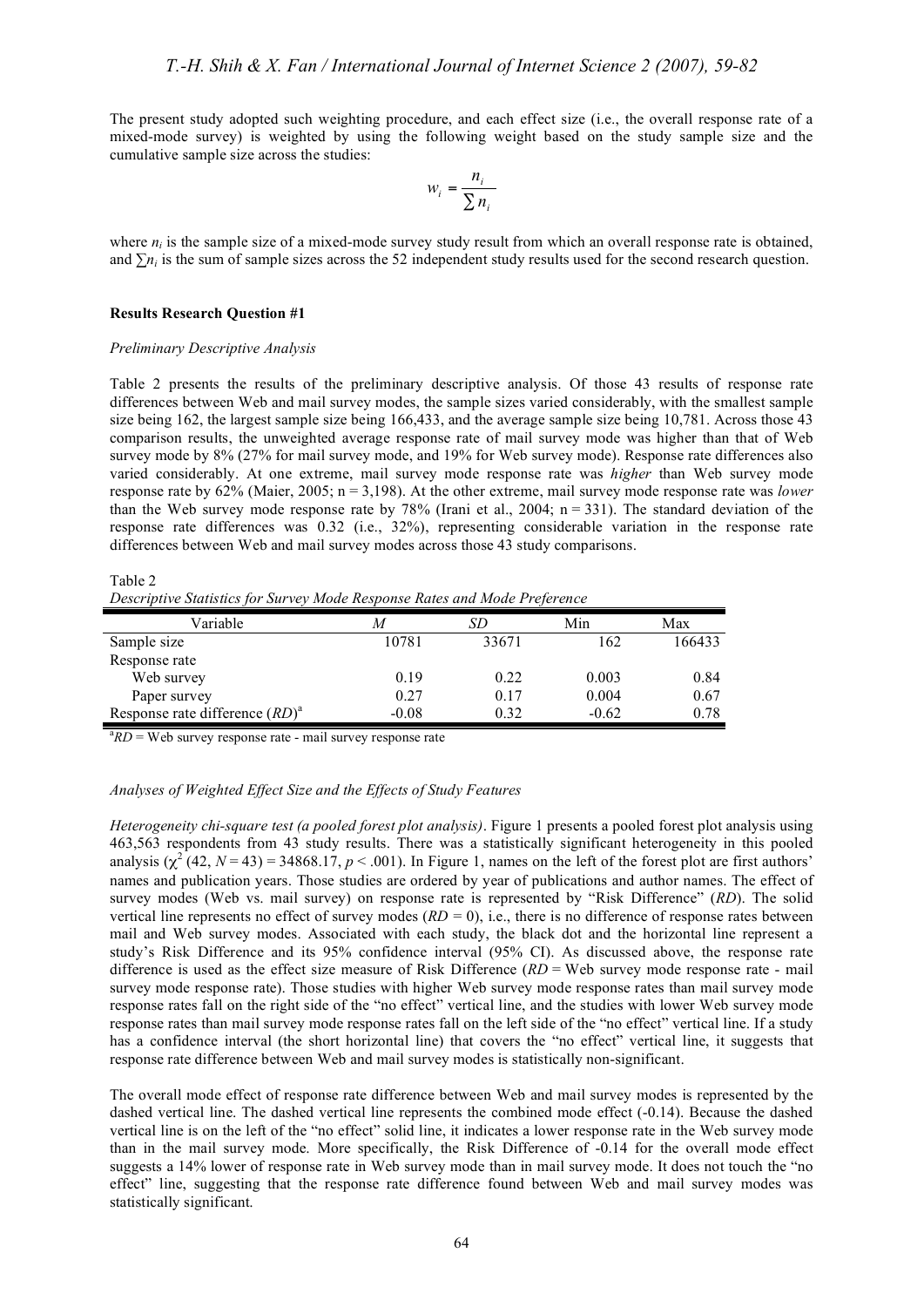The present study adopted such weighting procedure, and each effect size (i.e., the overall response rate of a mixed-mode survey) is weighted by using the following weight based on the study sample size and the cumulative sample size across the studies:

$$
w_i = \frac{n_i}{\sum n_i}
$$

where  $n_i$  is the sample size of a mixed-mode survey study result from which an overall response rate is obtained, and *∑n<sub>i</sub>* is the sum of sample sizes across the 52 independent study results used for the second research question.

#### **Results Research Question #1**

#### *Preliminary Descriptive Analysis*

Table 2 presents the results of the preliminary descriptive analysis. Of those 43 results of response rate differences between Web and mail survey modes, the sample sizes varied considerably, with the smallest sample size being 162, the largest sample size being 166,433, and the average sample size being 10,781. Across those 43 comparison results, the unweighted average response rate of mail survey mode was higher than that of Web survey mode by 8% (27% for mail survey mode, and 19% for Web survey mode). Response rate differences also varied considerably. At one extreme, mail survey mode response rate was *higher* than Web survey mode response rate by 62% (Maier, 2005; n = 3,198). At the other extreme, mail survey mode response rate was *lower* than the Web survey mode response rate by 78% (Irani et al., 2004;  $n = 331$ ). The standard deviation of the response rate differences was 0.32 (i.e., 32%), representing considerable variation in the response rate differences between Web and mail survey modes across those 43 study comparisons.

Table 2

*Descriptive Statistics for Survey Mode Response Rates and Mode Preference*

| Variable                          |         | SD    | Min     | Max    |
|-----------------------------------|---------|-------|---------|--------|
| Sample size                       | 10781   | 33671 | 162     | 166433 |
| Response rate                     |         |       |         |        |
| Web survey                        | 0.19    | 0.22  | 0.003   | 0.84   |
| Paper survey                      | 0.27    | 0.17  | 0.004   | 0.67   |
| Response rate difference $(RD)^a$ | $-0.08$ | 0.32  | $-0.62$ | 0.78   |

 $R_{1}^{a}RD$  = Web survey response rate - mail survey response rate

#### *Analyses of Weighted Effect Size and the Effects of Study Features*

*Heterogeneity chi-square test (a pooled forest plot analysis)*. Figure 1 presents a pooled forest plot analysis using 463,563 respondents from 43 study results. There was a statistically significant heterogeneity in this pooled analysis  $(\chi^2 (42, N=43) = 34868.17, p < .001)$ . In Figure 1, names on the left of the forest plot are first authors' names and publication years. Those studies are ordered by year of publications and author names. The effect of survey modes (Web vs. mail survey) on response rate is represented by "Risk Difference" (*RD*). The solid vertical line represents no effect of survey modes (*RD =* 0), i.e., there is no difference of response rates between mail and Web survey modes. Associated with each study, the black dot and the horizontal line represent a study's Risk Difference and its 95% confidence interval (95% CI). As discussed above, the response rate difference is used as the effect size measure of Risk Difference (*RD* = Web survey mode response rate - mail survey mode response rate). Those studies with higher Web survey mode response rates than mail survey mode response rates fall on the right side of the "no effect" vertical line, and the studies with lower Web survey mode response rates than mail survey mode response rates fall on the left side of the "no effect" vertical line. If a study has a confidence interval (the short horizontal line) that covers the "no effect" vertical line, it suggests that response rate difference between Web and mail survey modes is statistically non-significant.

The overall mode effect of response rate difference between Web and mail survey modes is represented by the dashed vertical line. The dashed vertical line represents the combined mode effect (-0.14). Because the dashed vertical line is on the left of the "no effect" solid line, it indicates a lower response rate in the Web survey mode than in the mail survey mode. More specifically, the Risk Difference of -0.14 for the overall mode effect suggests a 14% lower of response rate in Web survey mode than in mail survey mode. It does not touch the "no effect" line, suggesting that the response rate difference found between Web and mail survey modes was statistically significant.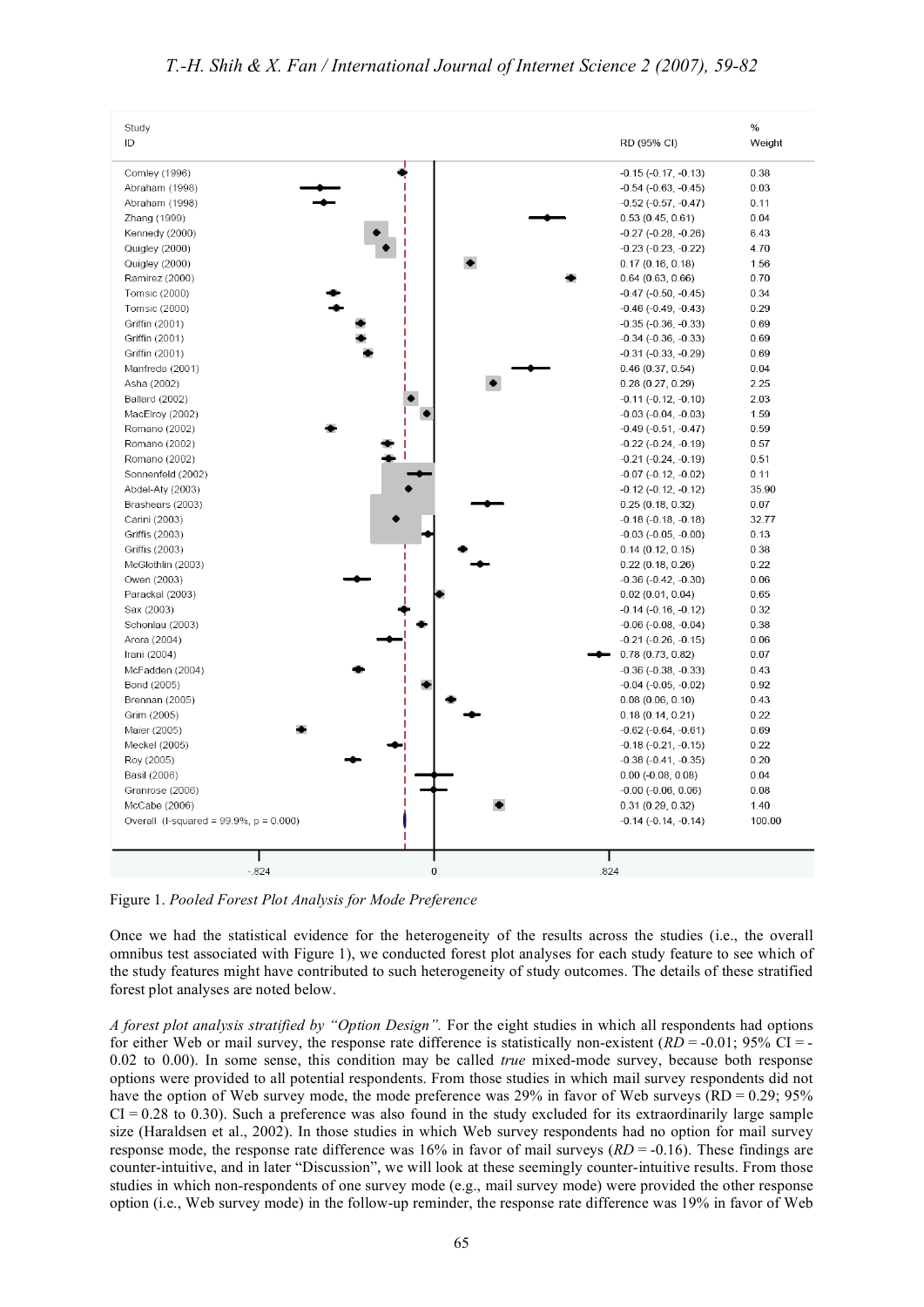| Study                                         |                               | $\%$   |
|-----------------------------------------------|-------------------------------|--------|
| ID                                            | RD (95% CI)                   | Weight |
|                                               |                               |        |
| Comley (1996)                                 | $-0.15$ $(-0.17, -0.13)$      | 0.38   |
| Abraham (1998)                                | $-0.54$ ( $-0.63$ , $-0.45$ ) | 0.03   |
| Abraham (1998)                                | $-0.52$ ( $-0.57$ , $-0.47$ ) | 0.11   |
| Zhang (1999)                                  | 0.53(0.45, 0.61)              | 0.04   |
| Kennedy (2000)                                | $-0.27$ $(-0.28, -0.26)$      | 6.43   |
| Quigley (2000)                                | $-0.23$ $(-0.23, -0.22)$      | 4.70   |
| Quigley (2000)                                | 0.17(0.16, 0.18)              | 1.56   |
| Ramirez (2000)                                | $0.64$ (0.63, 0.66)           | 0.70   |
| Tomsic (2000)                                 | $-0.47$ ( $-0.50$ , $-0.45$ ) | 0.34   |
| Tomsic (2000)                                 | $-0.46$ ( $-0.49$ , $-0.43$ ) | 0.29   |
| Griffin (2001)                                | $-0.35$ ( $-0.36$ , $-0.33$ ) | 0.69   |
| Griffin (2001)                                | $-0.34$ $(-0.36, -0.33)$      | 0.69   |
| Griffin (2001)                                | $-0.31$ ( $-0.33$ , $-0.29$ ) | 0.69   |
| Manfreda (2001)                               | 0.46(0.37, 0.54)              | 0.04   |
| Asha (2002)                                   | 0.28(0.27, 0.29)              | 2.25   |
| <b>Ballard (2002)</b>                         | $-0.11$ $(-0.12, -0.10)$      | 2.03   |
| MacElroy (2002)                               | $-0.03$ $(-0.04, -0.03)$      | 1.59   |
| Romano (2002)                                 | $-0.49$ $(-0.51, -0.47)$      | 0.59   |
| Romano (2002)                                 | $-0.22$ ( $-0.24$ , $-0.19$ ) | 0.57   |
| Romano (2002)                                 | $-0.21$ $(-0.24, -0.19)$      | 0.51   |
| Sonnenfeld (2002)                             | $-0.07$ $(-0.12, -0.02)$      | 0.11   |
| Abdel-Aty (2003)                              | $-0.12$ $(-0.12, -0.12)$      | 35.90  |
| Brashears (2003)                              | 0.25(0.18, 0.32)              | 0.07   |
| Carini (2003)                                 | $-0.18$ $(-0.18, -0.18)$      | 32.77  |
| Griffis (2003)                                | $-0.03$ $(-0.05, -0.00)$      | 0.13   |
| Griffis (2003)                                | 0.14(0.12, 0.15)              | 0.38   |
| McGlothlin (2003)                             | 0.22(0.18, 0.26)              | 0.22   |
| Owen (2003)                                   | $-0.36$ $(-0.42, -0.30)$      | 0.06   |
| Parackal (2003)                               | 0.02(0.01, 0.04)              | 0.65   |
| Sax (2003)                                    | $-0.14$ $(-0.16, -0.12)$      | 0.32   |
| Schonlau (2003)                               | $-0.06$ ( $-0.08$ , $-0.04$ ) | 0.38   |
| Arora (2004)                                  | $-0.21$ ( $-0.26$ , $-0.15$ ) | 0.06   |
| Irani (2004)                                  | 0.78(0.73, 0.82)              | 0.07   |
| McFadden (2004)                               | $-0.36$ ( $-0.38$ , $-0.33$ ) | 0.43   |
| Bond (2005)                                   | $-0.04$ ( $-0.05$ , $-0.02$ ) | 0.92   |
| Brennan (2005)                                | 0.08(0.06, 0.10)              | 0.43   |
| Grim (2005)                                   | 0.18(0.14, 0.21)              | 0.22   |
| Maier (2005)                                  | $-0.62$ ( $-0.64$ , $-0.61$ ) | 0.69   |
| Meckel (2005)                                 | $-0.18$ $(-0.21, -0.15)$      | 0.22   |
| Roy (2005)                                    | $-0.38$ $(-0.41, -0.35)$      | 0.20   |
| Basil (2006)                                  | $0.00$ ( $-0.08$ , $0.08$ )   | 0.04   |
| Granrose (2006)                               | $-0.00$ $(-0.06, 0.06)$       | 0.08   |
| McCabe (2006)                                 | 0.31(0.29, 0.32)              | 1.40   |
| Overall (I-squared = $99.9\%$ , $p = 0.000$ ) | $-0.14$ $(-0.14, -0.14)$      | 100.00 |
|                                               |                               |        |
|                                               |                               |        |
| $\boldsymbol{0}$                              |                               |        |
| $-0.824$                                      | .824                          |        |

Figure 1. *Pooled Forest Plot Analysis for Mode Preference*

Once we had the statistical evidence for the heterogeneity of the results across the studies (i.e., the overall omnibus test associated with Figure 1), we conducted forest plot analyses for each study feature to see which of the study features might have contributed to such heterogeneity of study outcomes. The details of these stratified forest plot analyses are noted below.

*A forest plot analysis stratified by "Option Design".* For the eight studies in which all respondents had options for either Web or mail survey, the response rate difference is statistically non-existent  $(RD = -0.01; 95\% \text{ CI} = -1.01$ 0.02 to 0.00). In some sense, this condition may be called *true* mixed-mode survey, because both response options were provided to all potential respondents. From those studies in which mail survey respondents did not have the option of Web survey mode, the mode preference was 29% in favor of Web surveys  $(RD = 0.29; 95\%$  $CI = 0.28$  to 0.30). Such a preference was also found in the study excluded for its extraordinarily large sample size (Haraldsen et al., 2002). In those studies in which Web survey respondents had no option for mail survey response mode, the response rate difference was 16% in favor of mail surveys (*RD* = -0.16). These findings are counter-intuitive, and in later "Discussion", we will look at these seemingly counter-intuitive results. From those studies in which non-respondents of one survey mode (e.g., mail survey mode) were provided the other response option (i.e., Web survey mode) in the follow-up reminder, the response rate difference was 19% in favor of Web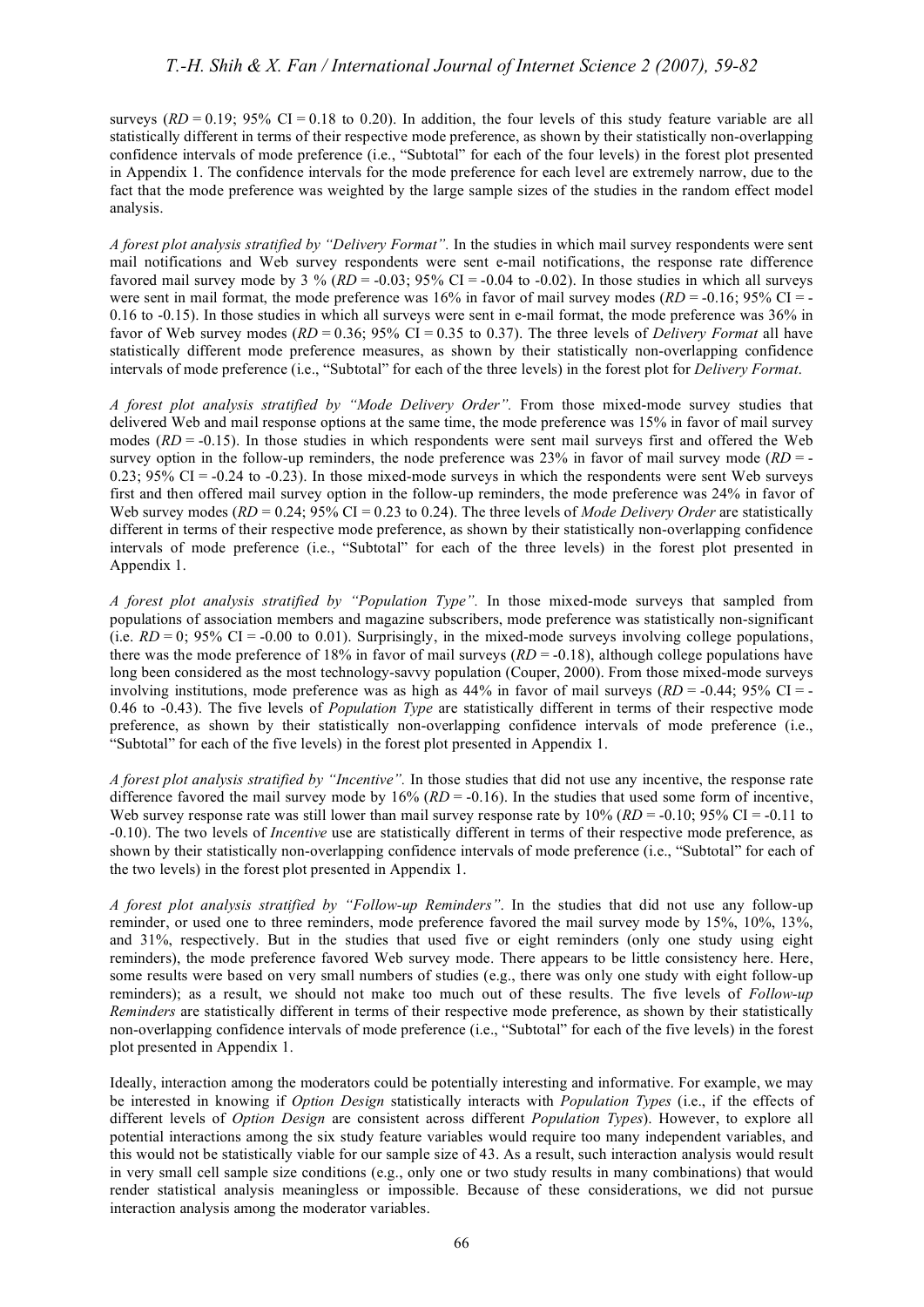surveys  $(RD = 0.19$ ; 95% CI = 0.18 to 0.20). In addition, the four levels of this study feature variable are all statistically different in terms of their respective mode preference, as shown by their statistically non-overlapping confidence intervals of mode preference (i.e., "Subtotal" for each of the four levels) in the forest plot presented in Appendix 1. The confidence intervals for the mode preference for each level are extremely narrow, due to the fact that the mode preference was weighted by the large sample sizes of the studies in the random effect model analysis.

*A forest plot analysis stratified by "Delivery Format".* In the studies in which mail survey respondents were sent mail notifications and Web survey respondents were sent e-mail notifications, the response rate difference favored mail survey mode by 3 %  $(RD = -0.03; 95\% \text{ CI} = -0.04 \text{ to } -0.02)$ . In those studies in which all surveys were sent in mail format, the mode preference was  $16\%$  in favor of mail survey modes ( $RD = -0.16$ ; 95% CI = -0.16 to -0.15). In those studies in which all surveys were sent in e-mail format, the mode preference was 36% in favor of Web survey modes (*RD* = 0.36; 95% CI = 0.35 to 0.37). The three levels of *Delivery Format* all have statistically different mode preference measures, as shown by their statistically non-overlapping confidence intervals of mode preference (i.e., "Subtotal" for each of the three levels) in the forest plot for *Delivery Format*.

*A forest plot analysis stratified by "Mode Delivery Order".* From those mixed-mode survey studies that delivered Web and mail response options at the same time, the mode preference was 15% in favor of mail survey modes (*RD* = -0.15). In those studies in which respondents were sent mail surveys first and offered the Web survey option in the follow-up reminders, the node preference was 23% in favor of mail survey mode (*RD* = -0.23; 95% CI =  $-0.24$  to  $-0.23$ ). In those mixed-mode surveys in which the respondents were sent Web surveys first and then offered mail survey option in the follow-up reminders, the mode preference was 24% in favor of Web survey modes (*RD* = 0.24; 95% CI = 0.23 to 0.24). The three levels of *Mode Delivery Order* are statistically different in terms of their respective mode preference, as shown by their statistically non-overlapping confidence intervals of mode preference (i.e., "Subtotal" for each of the three levels) in the forest plot presented in Appendix 1.

*A forest plot analysis stratified by "Population Type".* In those mixed-mode surveys that sampled from populations of association members and magazine subscribers, mode preference was statistically non-significant (i.e.  $RD = 0$ ; 95% CI = -0.00 to 0.01). Surprisingly, in the mixed-mode surveys involving college populations, there was the mode preference of 18% in favor of mail surveys  $(RD = -0.18)$ , although college populations have long been considered as the most technology-savvy population (Couper, 2000). From those mixed-mode surveys involving institutions, mode preference was as high as 44% in favor of mail surveys (*RD* = -0.44; 95% CI = - 0.46 to -0.43). The five levels of *Population Type* are statistically different in terms of their respective mode preference, as shown by their statistically non-overlapping confidence intervals of mode preference (i.e., "Subtotal" for each of the five levels) in the forest plot presented in Appendix 1.

*A forest plot analysis stratified by "Incentive".* In those studies that did not use any incentive, the response rate difference favored the mail survey mode by 16% (*RD* = -0.16). In the studies that used some form of incentive, Web survey response rate was still lower than mail survey response rate by 10% (*RD* = -0.10; 95% CI = -0.11 to -0.10). The two levels of *Incentive* use are statistically different in terms of their respective mode preference, as shown by their statistically non-overlapping confidence intervals of mode preference (i.e., "Subtotal" for each of the two levels) in the forest plot presented in Appendix 1.

*A forest plot analysis stratified by "Follow-up Reminders"*. In the studies that did not use any follow-up reminder, or used one to three reminders, mode preference favored the mail survey mode by 15%, 10%, 13%, and 31%, respectively. But in the studies that used five or eight reminders (only one study using eight reminders), the mode preference favored Web survey mode. There appears to be little consistency here. Here, some results were based on very small numbers of studies (e.g., there was only one study with eight follow-up reminders); as a result, we should not make too much out of these results. The five levels of *Follow-up Reminders* are statistically different in terms of their respective mode preference, as shown by their statistically non-overlapping confidence intervals of mode preference (i.e., "Subtotal" for each of the five levels) in the forest plot presented in Appendix 1.

Ideally, interaction among the moderators could be potentially interesting and informative. For example, we may be interested in knowing if *Option Design* statistically interacts with *Population Types* (i.e., if the effects of different levels of *Option Design* are consistent across different *Population Types*). However, to explore all potential interactions among the six study feature variables would require too many independent variables, and this would not be statistically viable for our sample size of 43. As a result, such interaction analysis would result in very small cell sample size conditions (e.g., only one or two study results in many combinations) that would render statistical analysis meaningless or impossible. Because of these considerations, we did not pursue interaction analysis among the moderator variables.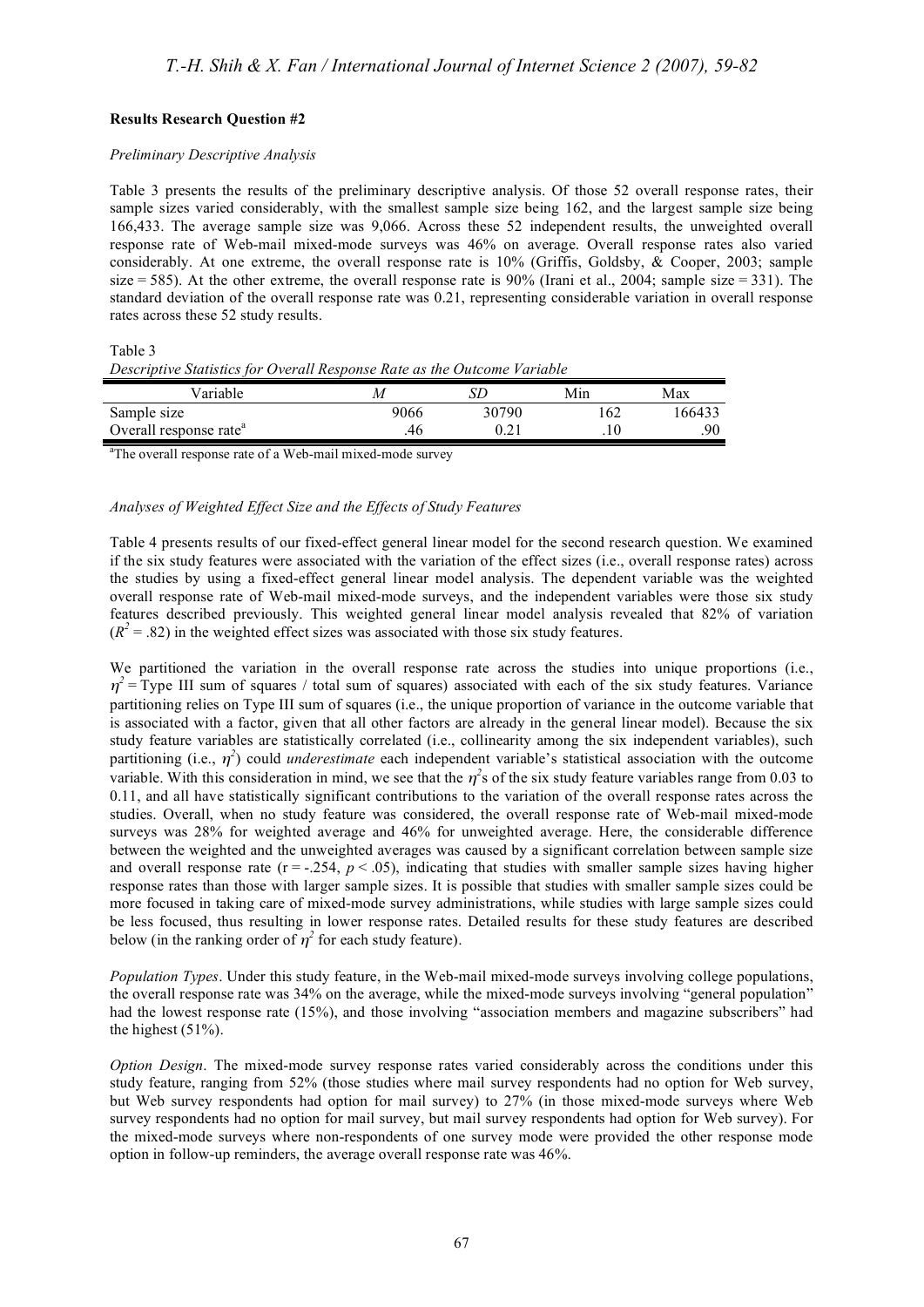#### **Results Research Question #2**

#### *Preliminary Descriptive Analysis*

Table 3 presents the results of the preliminary descriptive analysis. Of those 52 overall response rates, their sample sizes varied considerably, with the smallest sample size being 162, and the largest sample size being 166,433. The average sample size was 9,066. Across these 52 independent results, the unweighted overall response rate of Web-mail mixed-mode surveys was 46% on average. Overall response rates also varied considerably. At one extreme, the overall response rate is  $10\%$  (Griffis, Goldsby, & Cooper, 2003; sample size  $= 585$ ). At the other extreme, the overall response rate is 90% (Irani et al., 2004; sample size  $= 331$ ). The standard deviation of the overall response rate was 0.21, representing considerable variation in overall response rates across these 52 study results.

Table 3

*Descriptive Statistics for Overall Response Rate as the Outcome Variable*

| <sup>7</sup> ariable               | ΙИ   | SE    | Min | Max   |
|------------------------------------|------|-------|-----|-------|
| Sample size                        | 9066 | 30790 | .62 | 66433 |
| Overall response rate <sup>a</sup> | 46   | 0.21  | .10 | .90   |

<sup>a</sup>The overall response rate of a Web-mail mixed-mode survey

#### *Analyses of Weighted Effect Size and the Effects of Study Features*

Table 4 presents results of our fixed-effect general linear model for the second research question. We examined if the six study features were associated with the variation of the effect sizes (i.e., overall response rates) across the studies by using a fixed-effect general linear model analysis. The dependent variable was the weighted overall response rate of Web-mail mixed-mode surveys, and the independent variables were those six study features described previously. This weighted general linear model analysis revealed that 82% of variation  $(R<sup>2</sup> = .82)$  in the weighted effect sizes was associated with those six study features.

We partitioned the variation in the overall response rate across the studies into unique proportions (i.e.,  $\eta^2$  = Type III sum of squares / total sum of squares) associated with each of the six study features. Variance partitioning relies on Type III sum of squares (i.e., the unique proportion of variance in the outcome variable that is associated with a factor, given that all other factors are already in the general linear model). Because the six study feature variables are statistically correlated (i.e., collinearity among the six independent variables), such partitioning (i.e.,  $\eta^2$ ) could *underestimate* each independent variable's statistical association with the outcome variable. With this consideration in mind, we see that the  $\eta^2$ s of the six study feature variables range from 0.03 to 0.11, and all have statistically significant contributions to the variation of the overall response rates across the studies. Overall, when no study feature was considered, the overall response rate of Web-mail mixed-mode surveys was 28% for weighted average and 46% for unweighted average. Here, the considerable difference between the weighted and the unweighted averages was caused by a significant correlation between sample size and overall response rate  $(r = -0.254, p < 0.05)$ , indicating that studies with smaller sample sizes having higher response rates than those with larger sample sizes. It is possible that studies with smaller sample sizes could be more focused in taking care of mixed-mode survey administrations, while studies with large sample sizes could be less focused, thus resulting in lower response rates. Detailed results for these study features are described below (in the ranking order of  $\eta^2$  for each study feature).

*Population Types*. Under this study feature, in the Web-mail mixed-mode surveys involving college populations, the overall response rate was 34% on the average, while the mixed-mode surveys involving "general population" had the lowest response rate (15%), and those involving "association members and magazine subscribers" had the highest (51%).

*Option Design*. The mixed-mode survey response rates varied considerably across the conditions under this study feature, ranging from 52% (those studies where mail survey respondents had no option for Web survey, but Web survey respondents had option for mail survey) to 27% (in those mixed-mode surveys where Web survey respondents had no option for mail survey, but mail survey respondents had option for Web survey). For the mixed-mode surveys where non-respondents of one survey mode were provided the other response mode option in follow-up reminders, the average overall response rate was 46%.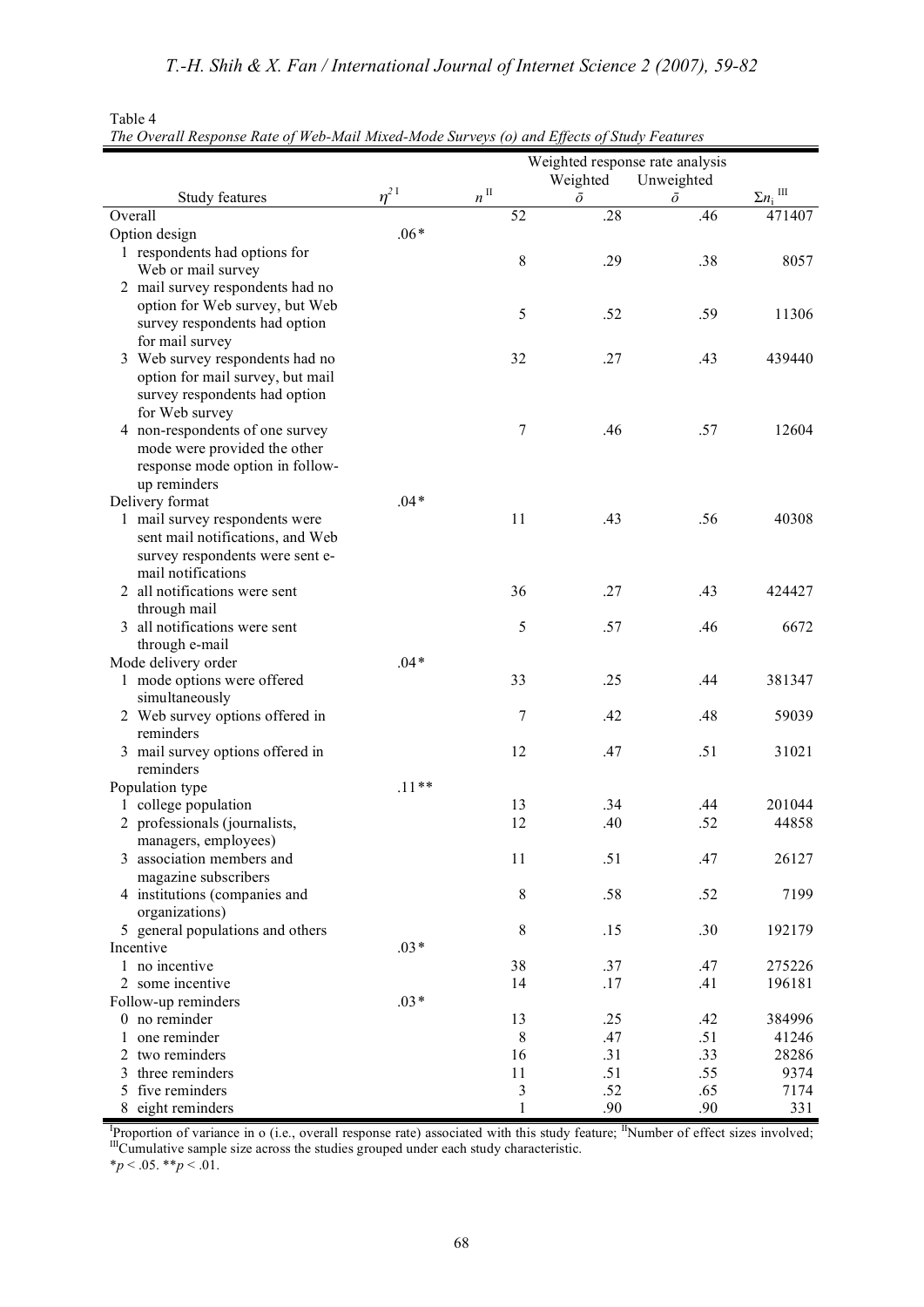|                                  |             |                   |           | Weighted response rate analysis |                        |
|----------------------------------|-------------|-------------------|-----------|---------------------------------|------------------------|
|                                  |             |                   | Weighted  | Unweighted                      |                        |
| Study features                   | $\eta^{21}$ | $n^{\, {\rm II}}$ | $\bar{o}$ | $\bar{o}$                       | $\Sigma n_{\rm i}$ !!! |
| Overall                          |             | 52                | .28       | .46                             | 471407                 |
| Option design                    | $.06*$      |                   |           |                                 |                        |
| 1 respondents had options for    |             |                   |           |                                 |                        |
| Web or mail survey               |             | 8                 | .29       | .38                             | 8057                   |
|                                  |             |                   |           |                                 |                        |
| 2 mail survey respondents had no |             |                   |           |                                 |                        |
| option for Web survey, but Web   |             | 5                 | .52       | .59                             | 11306                  |
| survey respondents had option    |             |                   |           |                                 |                        |
| for mail survey                  |             |                   |           |                                 |                        |
| 3 Web survey respondents had no  |             | 32                | .27       | .43                             | 439440                 |
| option for mail survey, but mail |             |                   |           |                                 |                        |
| survey respondents had option    |             |                   |           |                                 |                        |
| for Web survey                   |             |                   |           |                                 |                        |
| 4 non-respondents of one survey  |             | 7                 | .46       | .57                             | 12604                  |
| mode were provided the other     |             |                   |           |                                 |                        |
| response mode option in follow-  |             |                   |           |                                 |                        |
| up reminders                     |             |                   |           |                                 |                        |
| Delivery format                  | $.04*$      |                   |           |                                 |                        |
| 1 mail survey respondents were   |             | 11                | .43       | .56                             | 40308                  |
| sent mail notifications, and Web |             |                   |           |                                 |                        |
| survey respondents were sent e-  |             |                   |           |                                 |                        |
| mail notifications               |             |                   |           |                                 |                        |
| 2 all notifications were sent    |             | 36                | .27       | .43                             | 424427                 |
| through mail                     |             |                   |           |                                 |                        |
| 3 all notifications were sent    |             | 5                 | .57       | .46                             | 6672                   |
| through e-mail                   |             |                   |           |                                 |                        |
| Mode delivery order              | $.04*$      |                   |           |                                 |                        |
|                                  |             | 33                | .25       | .44                             | 381347                 |
| 1 mode options were offered      |             |                   |           |                                 |                        |
| simultaneously                   |             |                   |           |                                 |                        |
| 2 Web survey options offered in  |             | 7                 | .42       | .48                             | 59039                  |
| reminders                        |             |                   |           |                                 |                        |
| 3 mail survey options offered in |             | 12                | .47       | .51                             | 31021                  |
| reminders                        |             |                   |           |                                 |                        |
| Population type                  | $.11**$     |                   |           |                                 |                        |
| 1 college population             |             | 13                | .34       | .44                             | 201044                 |
| 2 professionals (journalists,    |             | 12                | .40       | .52                             | 44858                  |
| managers, employees)             |             |                   |           |                                 |                        |
| 3 association members and        |             | 11                | .51       | .47                             | 26127                  |
| magazine subscribers             |             |                   |           |                                 |                        |
| 4 institutions (companies and    |             | 8                 | .58       | .52                             | 7199                   |
| organizations)                   |             |                   |           |                                 |                        |
| 5 general populations and others |             | $\,8$             | .15       | .30                             | 192179                 |
| Incentive                        | $.03*$      |                   |           |                                 |                        |
| 1 no incentive                   |             | 38                | .37       | .47                             | 275226                 |
| 2 some incentive                 |             | 14                | .17       | .41                             | 196181                 |
| Follow-up reminders              | $.03*$      |                   |           |                                 |                        |
| 0 no reminder                    |             | 13                | .25       | .42                             | 384996                 |
| one reminder<br>1                |             | 8                 | .47       | .51                             | 41246                  |
| 2 two reminders                  |             | 16                | .31       | .33                             | 28286                  |
| 3 three reminders                |             | 11                | .51       | .55                             | 9374                   |
| 5 five reminders                 |             | 3                 | .52       | .65                             |                        |
|                                  |             |                   |           |                                 | 7174                   |
| 8 eight reminders                |             | 1                 | .90       | .90                             | 331                    |

#### Table 4

<sup>I</sup>Proportion of variance in o (i.e., overall response rate) associated with this study feature; <sup>II</sup>Number of effect sizes involved;<br><sup>III</sup>Cumulative sample size across the studies grouped under each study characteristic.

 $*_{p}$  < .05.  $*_{p}$  < .01.

*The Overall Response Rate of Web-Mail Mixed-Mode Surveys (o) and Effects of Study Features*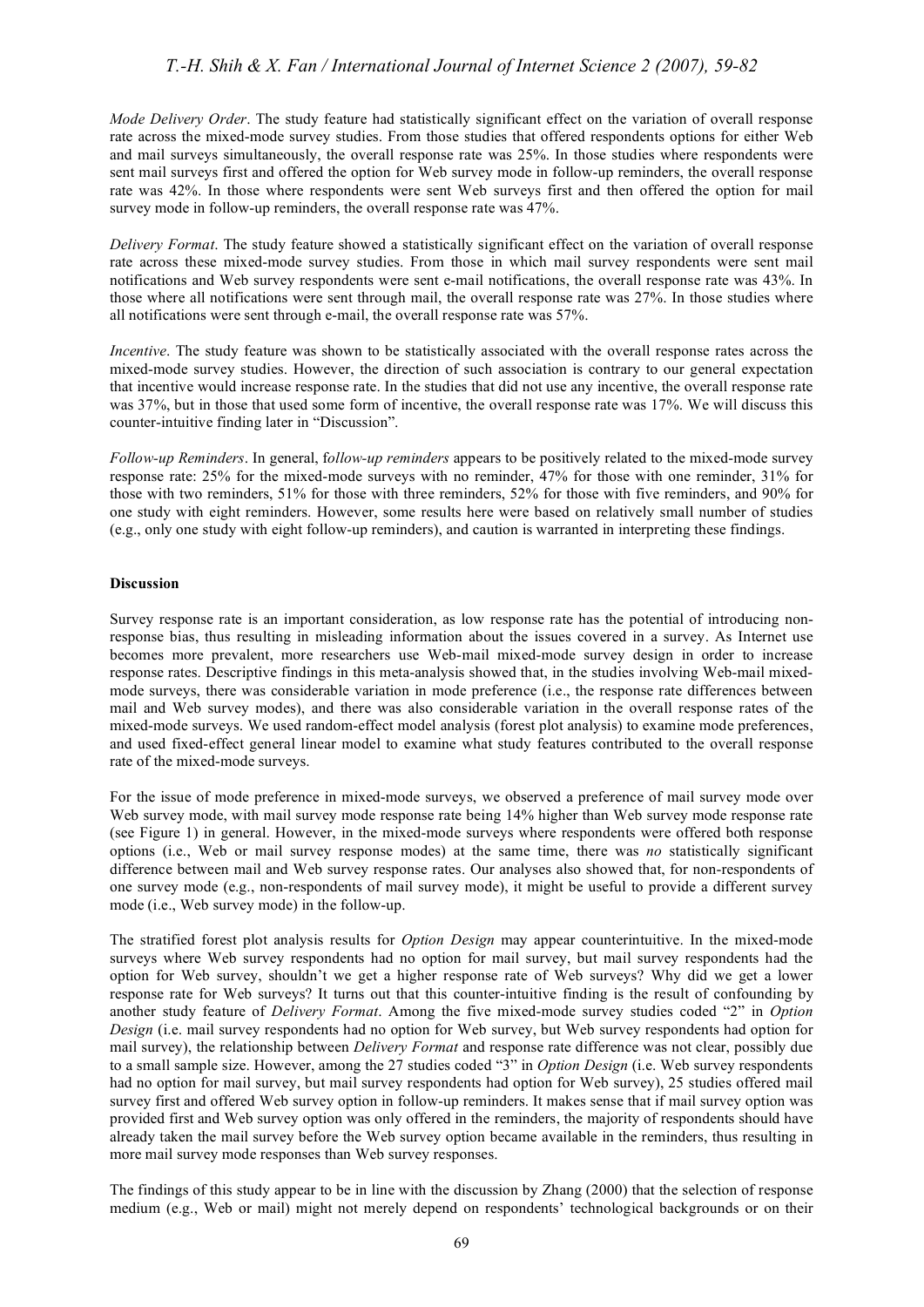*Mode Delivery Order*. The study feature had statistically significant effect on the variation of overall response rate across the mixed-mode survey studies. From those studies that offered respondents options for either Web and mail surveys simultaneously, the overall response rate was 25%. In those studies where respondents were sent mail surveys first and offered the option for Web survey mode in follow-up reminders, the overall response rate was 42%. In those where respondents were sent Web surveys first and then offered the option for mail survey mode in follow-up reminders, the overall response rate was 47%.

*Delivery Format*. The study feature showed a statistically significant effect on the variation of overall response rate across these mixed-mode survey studies. From those in which mail survey respondents were sent mail notifications and Web survey respondents were sent e-mail notifications, the overall response rate was 43%. In those where all notifications were sent through mail, the overall response rate was 27%. In those studies where all notifications were sent through e-mail, the overall response rate was 57%.

*Incentive*. The study feature was shown to be statistically associated with the overall response rates across the mixed-mode survey studies. However, the direction of such association is contrary to our general expectation that incentive would increase response rate. In the studies that did not use any incentive, the overall response rate was 37%, but in those that used some form of incentive, the overall response rate was 17%. We will discuss this counter-intuitive finding later in "Discussion".

*Follow-up Reminders*. In general, f*ollow-up reminders* appears to be positively related to the mixed-mode survey response rate: 25% for the mixed-mode surveys with no reminder, 47% for those with one reminder, 31% for those with two reminders, 51% for those with three reminders, 52% for those with five reminders, and 90% for one study with eight reminders. However, some results here were based on relatively small number of studies (e.g., only one study with eight follow-up reminders), and caution is warranted in interpreting these findings.

#### **Discussion**

Survey response rate is an important consideration, as low response rate has the potential of introducing nonresponse bias, thus resulting in misleading information about the issues covered in a survey. As Internet use becomes more prevalent, more researchers use Web-mail mixed-mode survey design in order to increase response rates. Descriptive findings in this meta-analysis showed that, in the studies involving Web-mail mixedmode surveys, there was considerable variation in mode preference (i.e., the response rate differences between mail and Web survey modes), and there was also considerable variation in the overall response rates of the mixed-mode surveys. We used random-effect model analysis (forest plot analysis) to examine mode preferences, and used fixed-effect general linear model to examine what study features contributed to the overall response rate of the mixed-mode surveys.

For the issue of mode preference in mixed-mode surveys, we observed a preference of mail survey mode over Web survey mode, with mail survey mode response rate being 14% higher than Web survey mode response rate (see Figure 1) in general. However, in the mixed-mode surveys where respondents were offered both response options (i.e., Web or mail survey response modes) at the same time, there was *no* statistically significant difference between mail and Web survey response rates. Our analyses also showed that, for non-respondents of one survey mode (e.g., non-respondents of mail survey mode), it might be useful to provide a different survey mode (i.e., Web survey mode) in the follow-up.

The stratified forest plot analysis results for *Option Design* may appear counterintuitive. In the mixed-mode surveys where Web survey respondents had no option for mail survey, but mail survey respondents had the option for Web survey, shouldn't we get a higher response rate of Web surveys? Why did we get a lower response rate for Web surveys? It turns out that this counter-intuitive finding is the result of confounding by another study feature of *Delivery Format*. Among the five mixed-mode survey studies coded "2" in *Option Design* (i.e. mail survey respondents had no option for Web survey, but Web survey respondents had option for mail survey), the relationship between *Delivery Format* and response rate difference was not clear, possibly due to a small sample size. However, among the 27 studies coded "3" in *Option Design* (i.e. Web survey respondents had no option for mail survey, but mail survey respondents had option for Web survey), 25 studies offered mail survey first and offered Web survey option in follow-up reminders. It makes sense that if mail survey option was provided first and Web survey option was only offered in the reminders, the majority of respondents should have already taken the mail survey before the Web survey option became available in the reminders, thus resulting in more mail survey mode responses than Web survey responses.

The findings of this study appear to be in line with the discussion by Zhang (2000) that the selection of response medium (e.g., Web or mail) might not merely depend on respondents' technological backgrounds or on their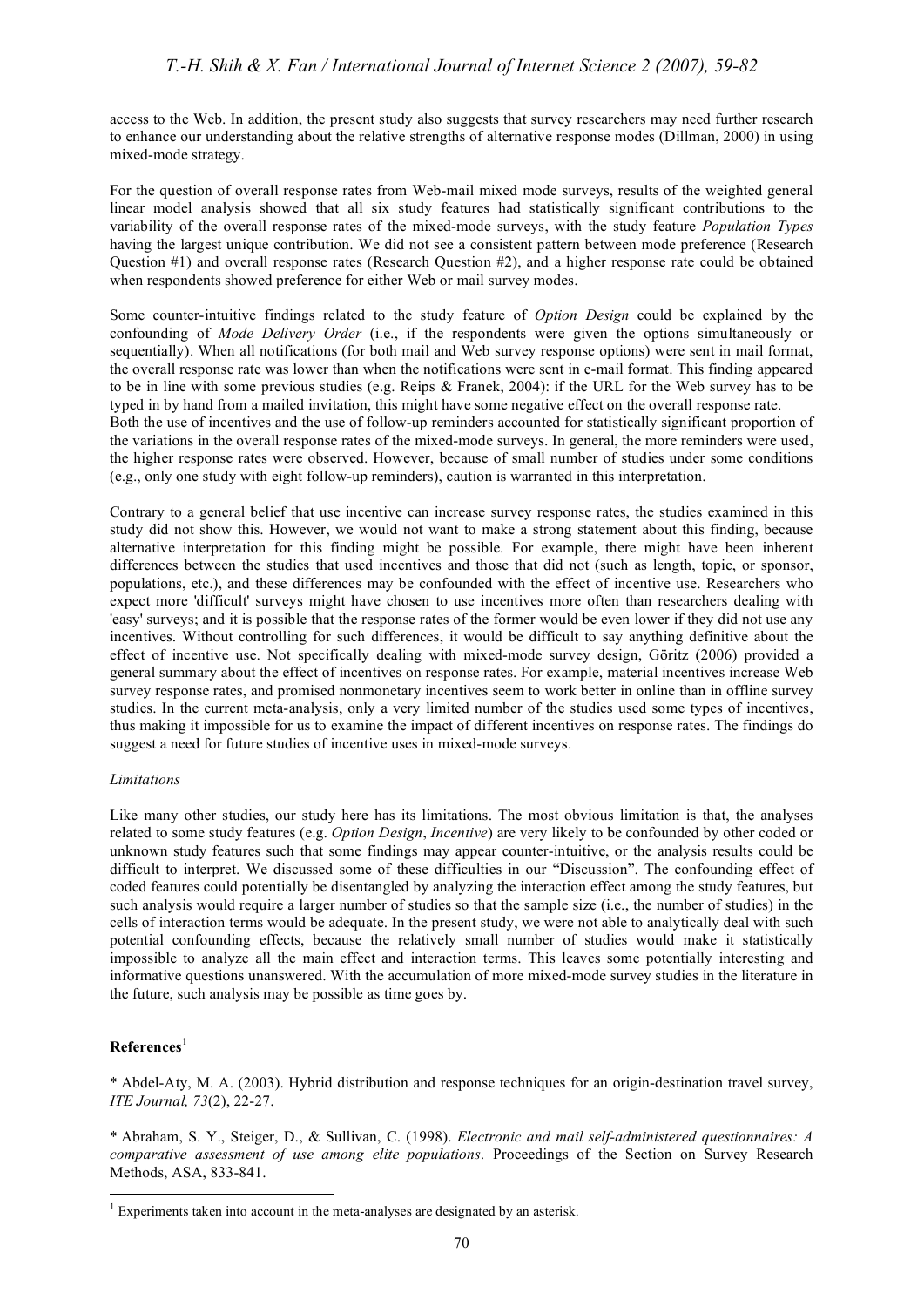access to the Web. In addition, the present study also suggests that survey researchers may need further research to enhance our understanding about the relative strengths of alternative response modes (Dillman, 2000) in using mixed-mode strategy.

For the question of overall response rates from Web-mail mixed mode surveys, results of the weighted general linear model analysis showed that all six study features had statistically significant contributions to the variability of the overall response rates of the mixed-mode surveys, with the study feature *Population Types* having the largest unique contribution. We did not see a consistent pattern between mode preference (Research Question #1) and overall response rates (Research Question #2), and a higher response rate could be obtained when respondents showed preference for either Web or mail survey modes.

Some counter-intuitive findings related to the study feature of *Option Design* could be explained by the confounding of *Mode Delivery Order* (i.e., if the respondents were given the options simultaneously or sequentially). When all notifications (for both mail and Web survey response options) were sent in mail format, the overall response rate was lower than when the notifications were sent in e-mail format. This finding appeared to be in line with some previous studies (e.g. Reips & Franek, 2004): if the URL for the Web survey has to be typed in by hand from a mailed invitation, this might have some negative effect on the overall response rate. Both the use of incentives and the use of follow-up reminders accounted for statistically significant proportion of the variations in the overall response rates of the mixed-mode surveys. In general, the more reminders were used, the higher response rates were observed. However, because of small number of studies under some conditions (e.g., only one study with eight follow-up reminders), caution is warranted in this interpretation.

Contrary to a general belief that use incentive can increase survey response rates, the studies examined in this study did not show this. However, we would not want to make a strong statement about this finding, because alternative interpretation for this finding might be possible. For example, there might have been inherent differences between the studies that used incentives and those that did not (such as length, topic, or sponsor, populations, etc.), and these differences may be confounded with the effect of incentive use. Researchers who expect more 'difficult' surveys might have chosen to use incentives more often than researchers dealing with 'easy' surveys; and it is possible that the response rates of the former would be even lower if they did not use any incentives. Without controlling for such differences, it would be difficult to say anything definitive about the effect of incentive use. Not specifically dealing with mixed-mode survey design, Göritz (2006) provided a general summary about the effect of incentives on response rates. For example, material incentives increase Web survey response rates, and promised nonmonetary incentives seem to work better in online than in offline survey studies. In the current meta-analysis, only a very limited number of the studies used some types of incentives, thus making it impossible for us to examine the impact of different incentives on response rates. The findings do suggest a need for future studies of incentive uses in mixed-mode surveys.

#### *Limitations*

Like many other studies, our study here has its limitations. The most obvious limitation is that, the analyses related to some study features (e.g. *Option Design*, *Incentive*) are very likely to be confounded by other coded or unknown study features such that some findings may appear counter-intuitive, or the analysis results could be difficult to interpret. We discussed some of these difficulties in our "Discussion". The confounding effect of coded features could potentially be disentangled by analyzing the interaction effect among the study features, but such analysis would require a larger number of studies so that the sample size (i.e., the number of studies) in the cells of interaction terms would be adequate. In the present study, we were not able to analytically deal with such potential confounding effects, because the relatively small number of studies would make it statistically impossible to analyze all the main effect and interaction terms. This leaves some potentially interesting and informative questions unanswered. With the accumulation of more mixed-mode survey studies in the literature in the future, such analysis may be possible as time goes by.

#### **References** 1

\* Abdel-Aty, M. A. (2003). Hybrid distribution and response techniques for an origin-destination travel survey, *ITE Journal, 73*(2), 22-27.

\* Abraham, S. Y., Steiger, D., & Sullivan, C. (1998). *Electronic and mail self-administered questionnaires: A comparative assessment of use among elite populations*. Proceedings of the Section on Survey Research Methods, ASA, 833-841.

 $1$  Experiments taken into account in the meta-analyses are designated by an asterisk.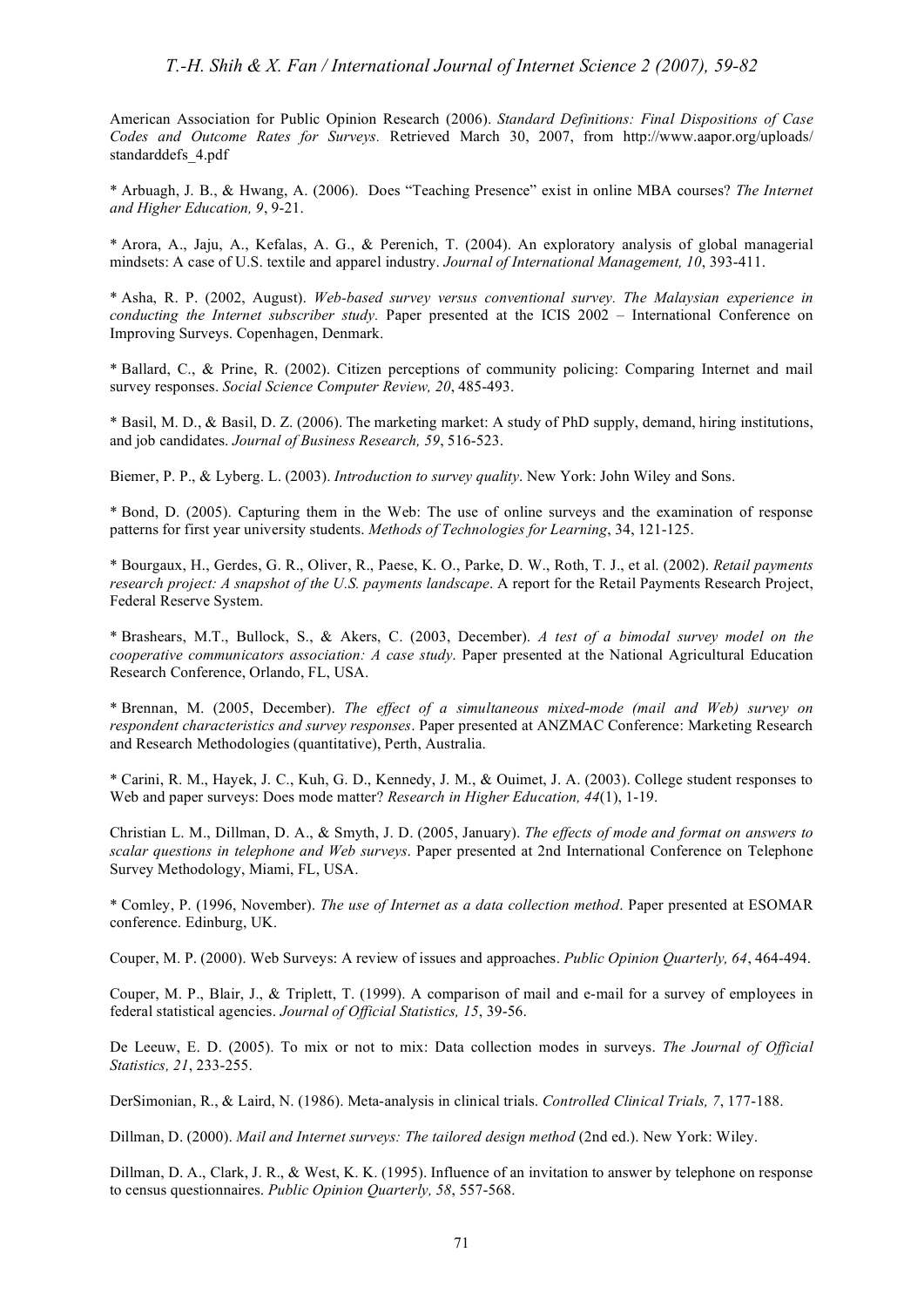American Association for Public Opinion Research (2006). *Standard Definitions: Final Dispositions of Case Codes and Outcome Rates for Surveys.* Retrieved March 30, 2007, from [http://www.aapor.org/uploads/](http://www.aapor.org/uploads/standarddefs_4.pdf) standarddefs\_4.pdf

\* Arbuagh, J. B., & Hwang, A. (2006). Does "Teaching Presence" exist in online MBA courses? *The Internet and Higher Education, 9*, 9-21.

\* Arora, A., Jaju, A., Kefalas, A. G., & Perenich, T. (2004). An exploratory analysis of global managerial mindsets: A case of U.S. textile and apparel industry. *Journal of International Management, 10*, 393-411.

\* Asha, R. P. (2002, August). *Web-based survey versus conventional survey. The Malaysian experience in conducting the Internet subscriber study.* Paper presented at the ICIS 2002 – International Conference on Improving Surveys. Copenhagen, Denmark.

\* Ballard, C., & Prine, R. (2002). Citizen perceptions of community policing: Comparing Internet and mail survey responses. *Social Science Computer Review, 20*, 485-493.

\* Basil, M. D., & Basil, D. Z. (2006). The marketing market: A study of PhD supply, demand, hiring institutions, and job candidates. *Journal of Business Research, 59*, 516-523.

Biemer, P. P., & Lyberg. L. (2003). *Introduction to survey quality*. New York: John Wiley and Sons.

\* Bond, D. (2005). Capturing them in the Web: The use of online surveys and the examination of response patterns for first year university students. *Methods of Technologies for Learning*, 34, 121-125.

\* Bourgaux, H., Gerdes, G. R., Oliver, R., Paese, K. O., Parke, D. W., Roth, T. J., et al. (2002). *Retail payments research project: A snapshot of the U.S. payments landscape*. A report for the Retail Payments Research Project, Federal Reserve System.

\* Brashears, M.T., Bullock, S., & Akers, C. (2003, December). *A test of a bimodal survey model on the cooperative communicators association: A case study*. Paper presented at the National Agricultural Education Research Conference, Orlando, FL, USA.

\* Brennan, M. (2005, December). *The effect of a simultaneous mixed-mode (mail and Web) survey on respondent characteristics and survey responses*. Paper presented at ANZMAC Conference: Marketing Research and Research Methodologies (quantitative), Perth, Australia.

\* Carini, R. M., Hayek, J. C., Kuh, G. D., Kennedy, J. M., & Ouimet, J. A. (2003). College student responses to Web and paper surveys: Does mode matter? *Research in Higher Education, 44*(1), 1-19.

Christian L. M., Dillman, D. A., & Smyth, J. D. (2005, January). *The effects of mode and format on answers to scalar questions in telephone and Web surveys*. Paper presented at 2nd International Conference on Telephone Survey Methodology, Miami, FL, USA.

\* Comley, P. (1996, November). *The use of Internet as a data collection method*. Paper presented at ESOMAR conference. Edinburg, UK.

Couper, M. P. (2000). Web Surveys: A review of issues and approaches. *Public Opinion Quarterly, 64*, 464-494.

Couper, M. P., Blair, J., & Triplett, T. (1999). A comparison of mail and e-mail for a survey of employees in federal statistical agencies. *Journal of Official Statistics, 15*, 39-56.

De Leeuw, E. D. (2005). To mix or not to mix: Data collection modes in surveys. *The Journal of Official Statistics, 21*, 233-255.

DerSimonian, R., & Laird, N. (1986). Meta-analysis in clinical trials. *Controlled Clinical Trials, 7*, 177-188.

Dillman, D. (2000). *Mail and Internet surveys: The tailored design method* (2nd ed.). New York: Wiley.

Dillman, D. A., Clark, J. R., & West, K. K. (1995). Influence of an invitation to answer by telephone on response to census questionnaires. *Public Opinion Quarterly, 58*, 557-568.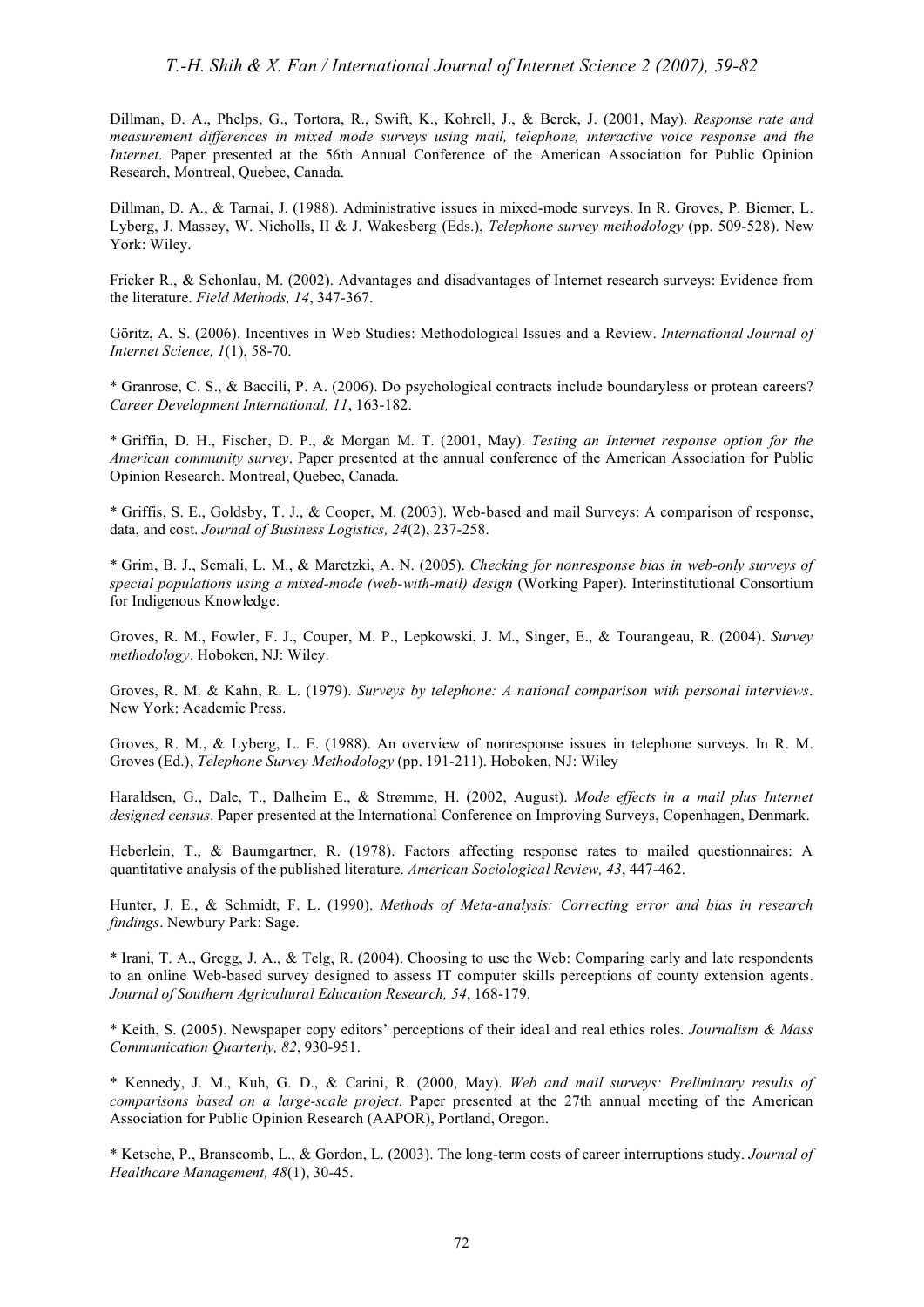Dillman, D. A., Phelps, G., Tortora, R., Swift, K., Kohrell, J., & Berck, J. (2001, May). *Response rate and measurement differences in mixed mode surveys using mail, telephone, interactive voice response and the Internet*. Paper presented at the 56th Annual Conference of the American Association for Public Opinion Research, Montreal, Quebec, Canada.

Dillman, D. A., & Tarnai, J. (1988). Administrative issues in mixed-mode surveys. In R. Groves, P. Biemer, L. Lyberg, J. Massey, W. Nicholls, II & J. Wakesberg (Eds.), *Telephone survey methodology* (pp. 509-528). New York: Wiley.

Fricker R., & Schonlau, M. (2002). Advantages and disadvantages of Internet research surveys: Evidence from the literature. *Field Methods, 14*, 347-367.

Göritz, A. S. (2006). Incentives in Web Studies: Methodological Issues and a Review. *International Journal of Internet Science, 1*(1), 58-70.

\* Granrose, C. S., & Baccili, P. A. (2006). Do psychological contracts include boundaryless or protean careers? *Career Development International, 11*, 163-182.

\* Griffin, D. H., Fischer, D. P., & Morgan M. T. (2001, May). *Testing an Internet response option for the American community survey*. Paper presented at the annual conference of the American Association for Public Opinion Research. Montreal, Quebec, Canada.

\* Griffis, S. E., Goldsby, T. J., & Cooper, M. (2003). Web-based and mail Surveys: A comparison of response, data, and cost. *Journal of Business Logistics, 24*(2), 237-258.

\* Grim, B. J., Semali, L. M., & Maretzki, A. N. (2005). *Checking for nonresponse bias in web-only surveys of special populations using a mixed-mode (web-with-mail) design* (Working Paper). Interinstitutional Consortium for Indigenous Knowledge.

Groves, R. M., Fowler, F. J., Couper, M. P., Lepkowski, J. M., Singer, E., & Tourangeau, R. (2004). *Survey methodology*. Hoboken, NJ: Wiley.

Groves, R. M. & Kahn, R. L. (1979). *Surveys by telephone: A national comparison with personal interviews*. New York: Academic Press.

Groves, R. M., & Lyberg, L. E. (1988). An overview of nonresponse issues in telephone surveys. In R. M. Groves (Ed.), *Telephone Survey Methodology* (pp. 191-211). Hoboken, NJ: Wiley

Haraldsen, G., Dale, T., Dalheim E., & Strømme, H. (2002, August). *Mode effects in a mail plus Internet designed census*. Paper presented at the International Conference on Improving Surveys, Copenhagen, Denmark.

Heberlein, T., & Baumgartner, R. (1978). Factors affecting response rates to mailed questionnaires: A quantitative analysis of the published literature. *American Sociological Review, 43*, 447-462.

Hunter, J. E., & Schmidt, F. L. (1990). *Methods of Meta-analysis: Correcting error and bias in research findings*. Newbury Park: Sage.

\* Irani, T. A., Gregg, J. A., & Telg, R. (2004). Choosing to use the Web: Comparing early and late respondents to an online Web-based survey designed to assess IT computer skills perceptions of county extension agents. *Journal of Southern Agricultural Education Research, 54*, 168-179.

\* Keith, S. (2005). Newspaper copy editors' perceptions of their ideal and real ethics roles. *Journalism & Mass Communication Quarterly, 82*, 930-951.

\* Kennedy, J. M., Kuh, G. D., & Carini, R. (2000, May). *Web and mail surveys: Preliminary results of comparisons based on a large-scale project*. Paper presented at the 27th annual meeting of the American Association for Public Opinion Research (AAPOR), Portland, Oregon.

\* Ketsche, P., Branscomb, L., & Gordon, L. (2003). The long-term costs of career interruptions study. *Journal of Healthcare Management, 48*(1), 30-45.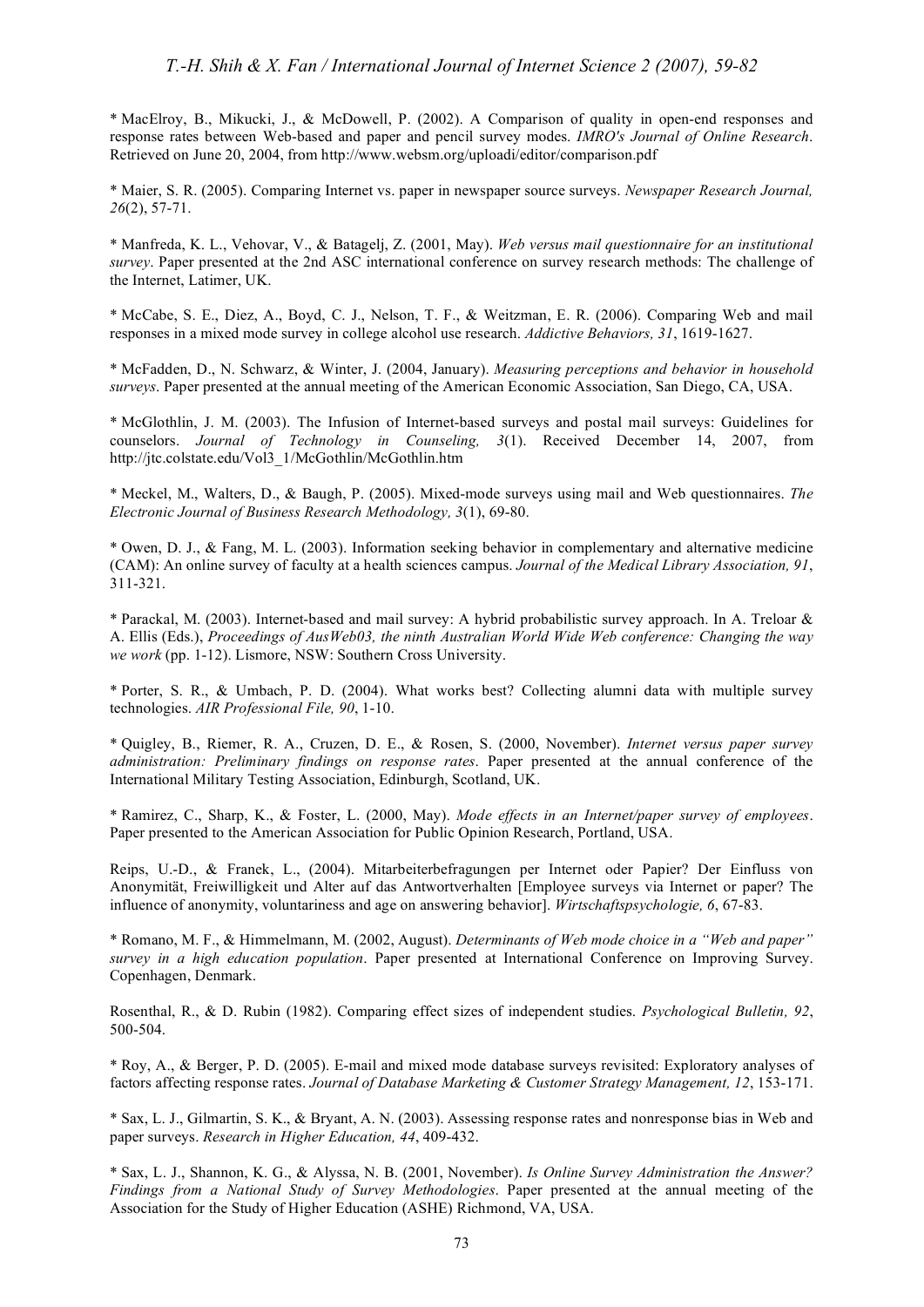\* MacElroy, B., Mikucki, J., & McDowell, P. (2002). A Comparison of quality in open-end responses and response rates between Web-based and paper and pencil survey modes. *IMRO's Journal of Online Research*. Retrieved on June 20, 2004, from <http://www.websm.org/uploadi/editor/comparison.pdf>

\* Maier, S. R. (2005). Comparing Internet vs. paper in newspaper source surveys. *Newspaper Research Journal, 26*(2), 57-71.

\* Manfreda, K. L., Vehovar, V., & Batagelj, Z. (2001, May). *Web versus mail questionnaire for an institutional survey*. Paper presented at the 2nd ASC international conference on survey research methods: The challenge of the Internet, Latimer, UK.

\* McCabe, S. E., Diez, A., Boyd, C. J., Nelson, T. F., & Weitzman, E. R. (2006). Comparing Web and mail responses in a mixed mode survey in college alcohol use research. *Addictive Behaviors, 31*, 1619-1627.

\* McFadden, D., N. Schwarz, & Winter, J. (2004, January). *Measuring perceptions and behavior in household surveys*. Paper presented at the annual meeting of the American Economic Association, San Diego, CA, USA.

\* McGlothlin, J. M. (2003). The Infusion of Internet-based surveys and postal mail surveys: Guidelines for counselors. *Journal of Technology in Counseling, 3*(1). Received December 14, 2007, from [http://jtc.colstate.edu/Vol3\\_1/McGothlin/McGothlin.htm](http://jtc.colstate.edu/Vol3_1/McGothlin/McGothlin.htm)

\* Meckel, M., Walters, D., & Baugh, P. (2005). Mixed-mode surveys using mail and Web questionnaires. *The Electronic Journal of Business Research Methodology, 3*(1), 69-80.

\* Owen, D. J., & Fang, M. L. (2003). Information seeking behavior in complementary and alternative medicine (CAM): An online survey of faculty at a health sciences campus. *Journal of the Medical Library Association, 91*, 311-321.

\* Parackal, M. (2003). Internet-based and mail survey: A hybrid probabilistic survey approach. In A. Treloar & A. Ellis (Eds.), *Proceedings of AusWeb03, the ninth Australian World Wide Web conference: Changing the way we work* (pp. 1-12). Lismore, NSW: Southern Cross University.

\* Porter, S. R., & Umbach, P. D. (2004). What works best? Collecting alumni data with multiple survey technologies. *AIR Professional File, 90*, 1-10.

\* Quigley, B., Riemer, R. A., Cruzen, D. E., & Rosen, S. (2000, November). *Internet versus paper survey administration: Preliminary findings on response rates*. Paper presented at the annual conference of the International Military Testing Association, Edinburgh, Scotland, UK.

\* Ramirez, C., Sharp, K., & Foster, L. (2000, May). *Mode effects in an Internet/paper survey of employees*. Paper presented to the American Association for Public Opinion Research, Portland, USA.

Reips, U.-D., & Franek, L., (2004). Mitarbeiterbefragungen per Internet oder Papier? Der Einfluss von Anonymität, Freiwilligkeit und Alter auf das Antwortverhalten [Employee surveys via Internet or paper? The influence of anonymity, voluntariness and age on answering behavior]. *Wirtschaftspsychologie, 6*, 67-83.

\* Romano, M. F., & Himmelmann, M. (2002, August). *Determinants of Web mode choice in a "Web and paper" survey in a high education population*. Paper presented at International Conference on Improving Survey. Copenhagen, Denmark.

Rosenthal, R., & D. Rubin (1982). Comparing effect sizes of independent studies. *Psychological Bulletin, 92*, 500-504.

\* Roy, A., & Berger, P. D. (2005). E-mail and mixed mode database surveys revisited: Exploratory analyses of factors affecting response rates. *Journal of Database Marketing & Customer Strategy Management, 12*, 153-171.

\* Sax, L. J., Gilmartin, S. K., & Bryant, A. N. (2003). Assessing response rates and nonresponse bias in Web and paper surveys. *Research in Higher Education, 44*, 409-432.

\* Sax, L. J., Shannon, K. G., & Alyssa, N. B. (2001, November). *Is Online Survey Administration the Answer? Findings from a National Study of Survey Methodologies*. Paper presented at the annual meeting of the Association for the Study of Higher Education (ASHE) Richmond, VA, USA.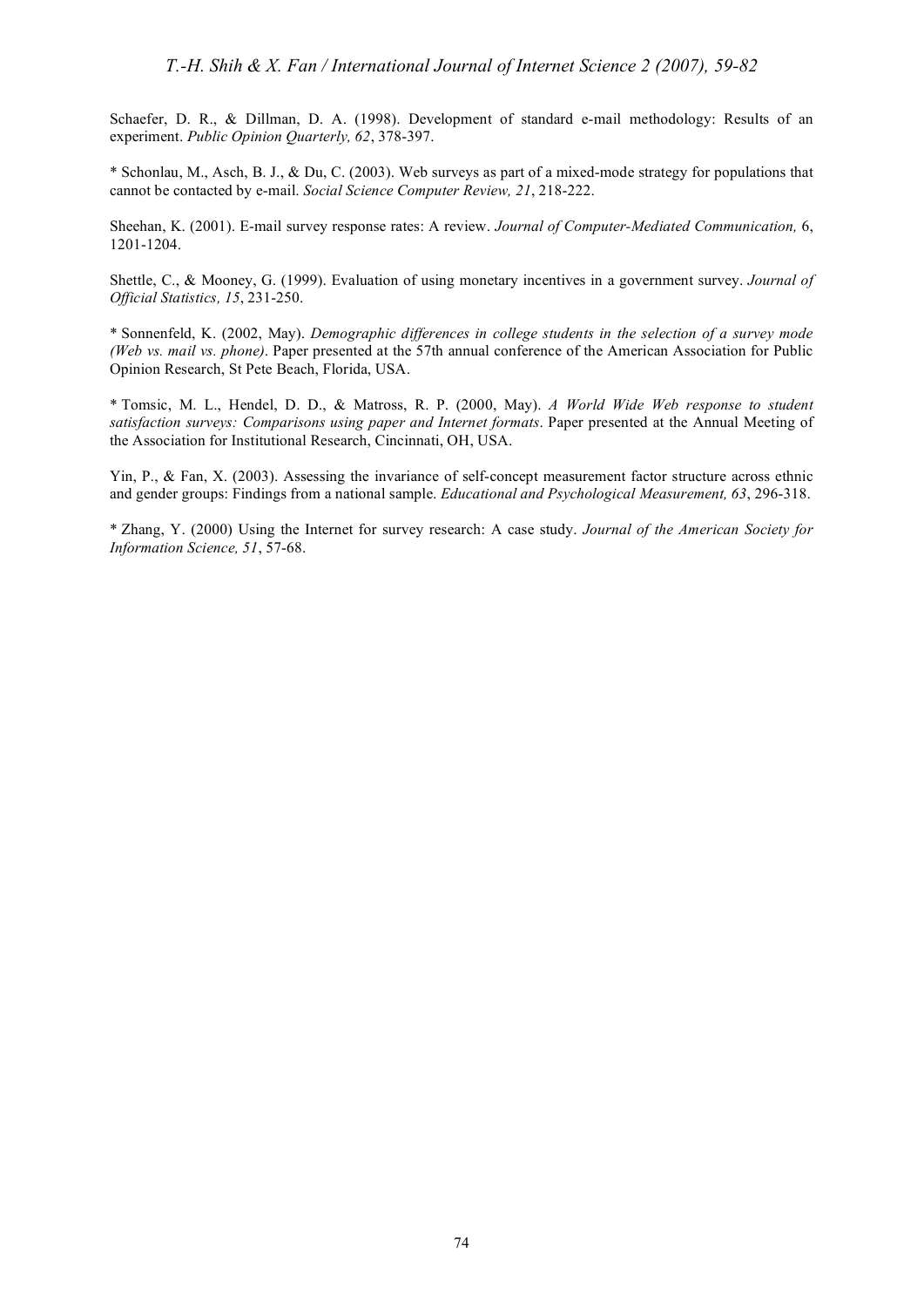Schaefer, D. R., & Dillman, D. A. (1998). Development of standard e-mail methodology: Results of an experiment. *Public Opinion Quarterly, 62*, 378-397.

\* Schonlau, M., Asch, B. J., & Du, C. (2003). Web surveys as part of a mixed-mode strategy for populations that cannot be contacted by e-mail. *Social Science Computer Review, 21*, 218-222.

Sheehan, K. (2001). E-mail survey response rates: A review. *Journal of Computer-Mediated Communication,* 6, 1201-1204.

Shettle, C., & Mooney, G. (1999). Evaluation of using monetary incentives in a government survey. *Journal of Official Statistics, 15*, 231-250.

\* Sonnenfeld, K. (2002, May). *Demographic differences in college students in the selection of a survey mode (Web vs. mail vs. phone)*. Paper presented at the 57th annual conference of the American Association for Public Opinion Research, St Pete Beach, Florida, USA.

\* Tomsic, M. L., Hendel, D. D., & Matross, R. P. (2000, May). *A World Wide Web response to student satisfaction surveys: Comparisons using paper and Internet formats*. Paper presented at the Annual Meeting of the Association for Institutional Research, Cincinnati, OH, USA.

Yin, P., & Fan, X. (2003). Assessing the invariance of self-concept measurement factor structure across ethnic and gender groups: Findings from a national sample. *Educational and Psychological Measurement, 63*, 296-318.

\* Zhang, Y. (2000) Using the Internet for survey research: A case study. *Journal of the American Society for Information Science, 51*, 57-68.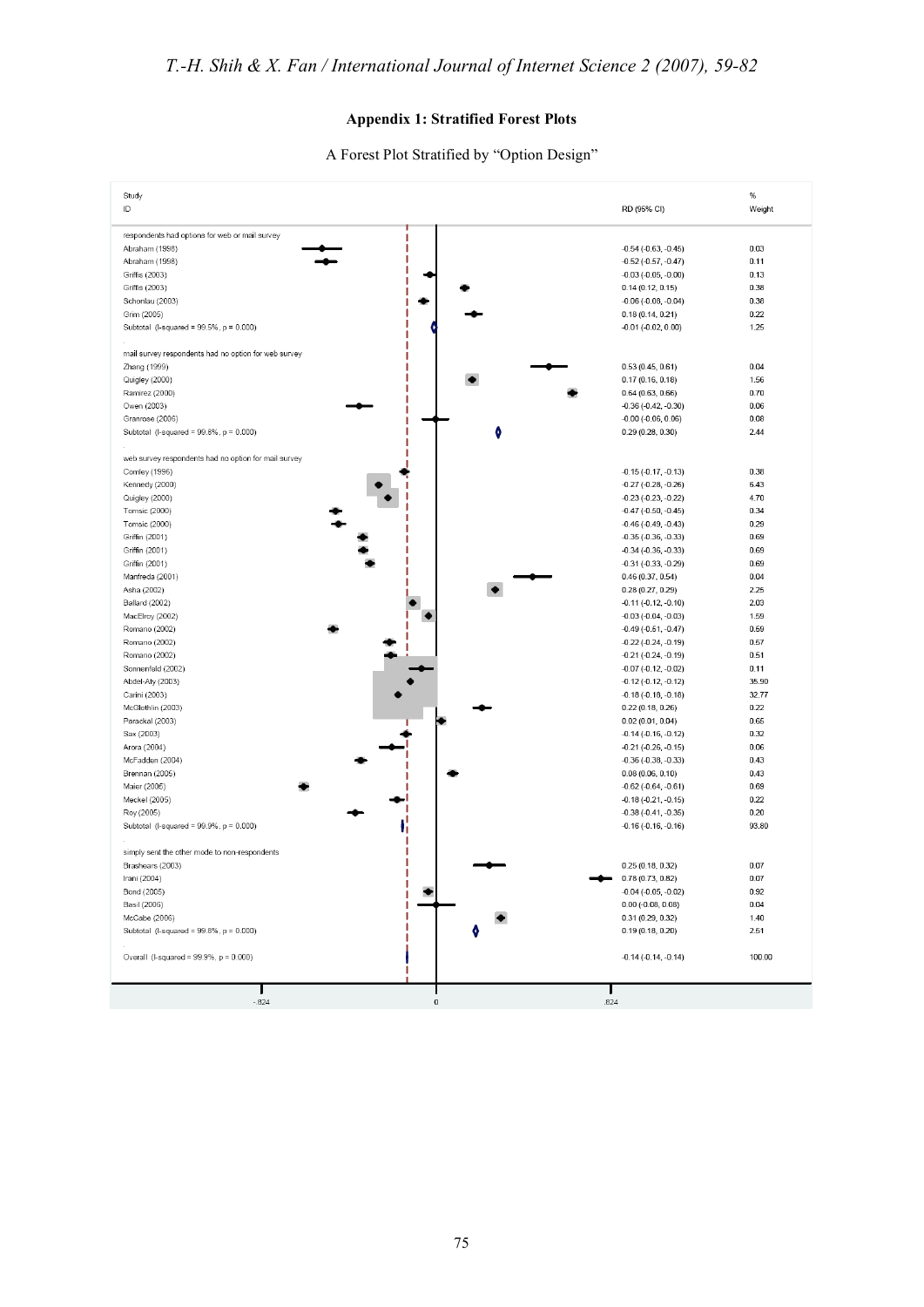## **Appendix 1: Stratified Forest Plots**

## A Forest Plot Stratified by "Option Design"

| Study                                                |                                                           | $\%$   |
|------------------------------------------------------|-----------------------------------------------------------|--------|
| ID                                                   | RD (95% CI)                                               | Weight |
|                                                      |                                                           |        |
| respondents had options for web or mail survey       |                                                           |        |
| Abraham (1998)                                       | $-0.54$ ( $-0.63$ , $-0.45$ )                             | 0.03   |
| Abraham (1998)                                       | $-0.52$ ( $-0.57$ , $-0.47$ )                             | 0.11   |
| Griffis (2003)                                       | $-0.03$ $(-0.05, -0.00)$                                  | 0.13   |
| Griffis (2003)                                       | 0.14(0.12, 0.15)                                          | 0.38   |
| Schonlau (2003)                                      | $-0.06$ ( $-0.08$ , $-0.04$ )                             | 0.38   |
| Grim (2005)                                          | 0.18(0.14, 0.21)                                          | 0.22   |
| Subtotal (I-squared = 99.5%, p = 0.000)              | $-0.01$ $(-0.02, 0.00)$                                   | 1.25   |
|                                                      |                                                           |        |
| mail survey respondents had no option for web survey |                                                           |        |
| Zhang (1999)                                         | 0.53(0.45, 0.61)                                          | 0.04   |
| Quigley (2000)                                       | 0.17(0.16, 0.18)                                          | 1.56   |
| Ramirez (2000)                                       | 0.64(0.63, 0.66)                                          | 0.70   |
| Owen (2003)                                          | $-0.36$ $(-0.42, -0.30)$                                  | 0.06   |
| Granrose (2006)                                      | $-0.00$ $(-0.06, 0.06)$                                   | 0.08   |
| Subtotal (I-squared = 99.8%, p = 0.000)              | 0.29(0.28, 0.30)                                          | 2.44   |
|                                                      |                                                           |        |
| web survey respondents had no option for mail survey |                                                           |        |
| Comley (1996)                                        | $-0.15(-0.17, -0.13)$                                     | 0.38   |
| Kennedy (2000)                                       | $-0.27$ $(-0.28, -0.26)$                                  | 6.43   |
| Quigley (2000)                                       | $-0.23$ $(-0.23, -0.22)$                                  | 4.70   |
| Tomsic (2000)                                        | $-0.47$ $(-0.50, -0.45)$                                  | 0.34   |
| Tomsic (2000)                                        | $-0.46$ ( $-0.49$ , $-0.43$ )                             | 0.29   |
| Griffin (2001)                                       | $-0.35$ $(-0.36, -0.33)$                                  | 0.69   |
| Griffin (2001)                                       | $-0.34$ ( $-0.36$ , $-0.33$ )                             | 0.69   |
| Griffin (2001)                                       | $-0.31$ $(-0.33, -0.29)$                                  | 0.69   |
| Manfreda (2001)                                      | 0.46(0.37, 0.54)                                          | 0.04   |
| Asha (2002)                                          | 0.28(0.27, 0.29)                                          | 2.25   |
| <b>Ballard (2002)</b>                                | $-0.11(-0.12,-0.10)$                                      | 2.03   |
| MacElroy (2002)                                      | $-0.03$ $(-0.04, -0.03)$                                  | 1.59   |
| Romano (2002)                                        | $-0.49(-0.51,-0.47)$                                      | 0.59   |
| Romano (2002)                                        | $-0.22$ $(-0.24, -0.19)$                                  | 0.57   |
| Romano (2002)                                        | $-0.21$ ( $-0.24$ , $-0.19$ )                             | 0.51   |
| Sonnenfeld (2002)                                    | $-0.07$ $(-0.12, -0.02)$                                  | 0.11   |
| Abdel-Aty (2003)                                     | $-0.12$ $(-0.12, -0.12)$                                  | 35.90  |
| Carini (2003)                                        | $-0.18(-0.18,-0.18)$                                      | 32.77  |
| McGlothlin (2003)                                    | 0.22(0.18, 0.26)                                          | 0.22   |
| Parackal (2003)                                      | 0.02(0.01, 0.04)                                          | 0.65   |
| Sax (2003)                                           | $-0.14$ ( $-0.16$ , $-0.12$ )                             | 0.32   |
|                                                      |                                                           | 0.06   |
| Arora (2004)<br>McFadden (2004)                      | $-0.21$ $(-0.26, -0.15)$<br>$-0.36$ ( $-0.38$ , $-0.33$ ) | 0.43   |
|                                                      |                                                           | 0.43   |
| Brennan (2005)<br>Maier (2005)                       | 0.08(0.06, 0.10)                                          | 0.69   |
|                                                      | $-0.62$ ( $-0.64$ , $-0.61$ )                             |        |
| Meckel (2005)                                        | $-0.18(-0.21,-0.15)$                                      | 0.22   |
| Roy (2005)                                           | $-0.38$ $(-0.41, -0.35)$                                  | 0.20   |
| Subtotal (I-squared = 99.9%, p = 0.000)              | $-0.16$ ( $-0.16$ , $-0.16$ )                             | 93.80  |
|                                                      |                                                           |        |
| simply sent the other mode to non-respondents        |                                                           |        |
| Brashears (2003)                                     | 0.25(0.18, 0.32)                                          | 0.07   |
| Irani (2004)                                         | 0.78 (0.73, 0.82)                                         | 0.07   |
| Bond (2005)                                          | $-0.04$ ( $-0.05$ , $-0.02$ )                             | 0.92   |
| Basil (2006)                                         | $0.00$ (-0.08, 0.08)                                      | 0.04   |
| McCabe (2006)                                        | 0.31 (0.29, 0.32)                                         | 1.40   |
| Subtotal (I-squared = 99.8%, p = 0.000)<br>ô         | 0.19(0.18, 0.20)                                          | 2.51   |
| Overall (I-squared = 99.9%, p = 0.000)               | $-0.14 (-0.14, -0.14)$                                    | 100.00 |
|                                                      |                                                           |        |
|                                                      |                                                           |        |
|                                                      |                                                           |        |
| $\pmb{0}$<br>$-.824$                                 | .824                                                      |        |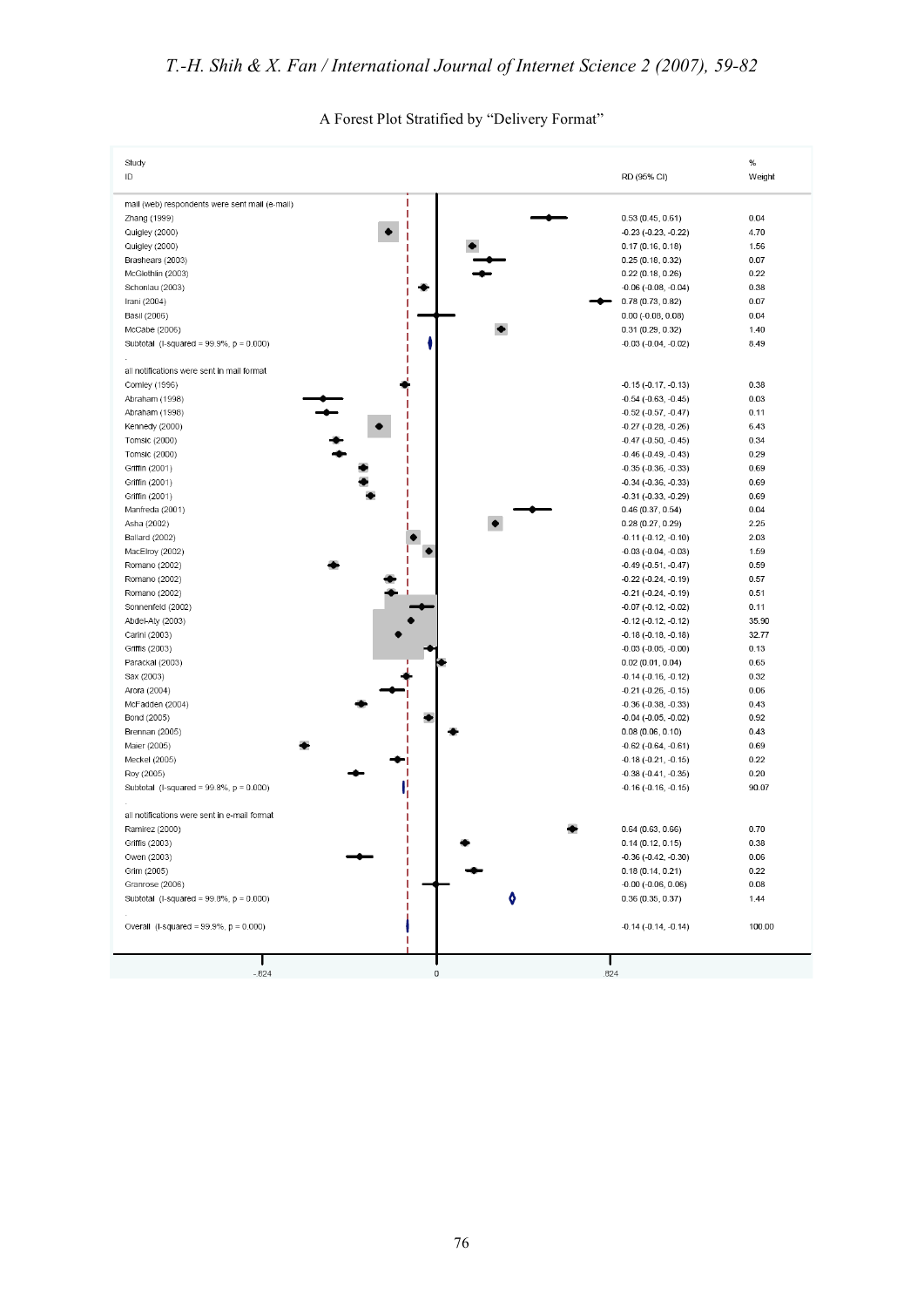| Study                                                             |                                             | $\%$         |
|-------------------------------------------------------------------|---------------------------------------------|--------------|
| ID                                                                | RD (95% CI)                                 | Weight       |
| mail (web) respondents were sent mail (e-mail)                    |                                             |              |
| Zhang (1999)                                                      | 0.53(0.45, 0.61)                            | 0.04         |
| $\bullet$<br>Quigley (2000)                                       | $-0.23$ $(-0.23, -0.22)$                    | 4.70         |
| Quigley (2000)                                                    | 0.17(0.16, 0.18)                            | 1.56         |
| Brashears (2003)                                                  | 0.25(0.18, 0.32)                            | 0.07         |
| McGlothlin (2003)                                                 | 0.22(0.18, 0.26)                            | 0.22         |
| Schonlau (2003)                                                   | $-0.06$ $(-0.08, -0.04)$                    | 0.38         |
| Irani (2004)                                                      | 0.78(0.73, 0.82)                            | 0.07         |
| Basil (2006)                                                      | $0.00$ (-0.08, 0.08)                        | 0.04         |
| McCabe (2006)                                                     | 0.31(0.29, 0.32)                            | 1.40         |
| Subtotal (I-squared = $99.9\%$ , $p = 0.000$ )                    | $-0.03$ $(-0.04, -0.02)$                    | 8.49         |
| all notifications were sent in mail format                        |                                             |              |
| Comley (1996)                                                     | $-0.15$ ( $-0.17$ , $-0.13$ )               | 0.38         |
| Abraham (1998)                                                    | $-0.54$ ( $-0.63$ , $-0.45$ )               | 0.03         |
| Abraham (1998)                                                    | $-0.52$ ( $-0.57$ , $-0.47$ )               | 0.11         |
| Kennedy (2000)                                                    | $-0.27$ $(-0.28, -0.26)$                    | 6.43         |
| Tomsic (2000)                                                     | $-0.47$ $(-0.50, -0.45)$                    | 0.34         |
| Tomsic (2000)                                                     | $-0.46$ ( $-0.49$ , $-0.43$ )               | 0.29         |
| Griffin (2001)                                                    | $-0.35$ ( $-0.36$ , $-0.33$ )               | 0.69         |
| Griffin (2001)                                                    | $-0.34$ ( $-0.36$ , $-0.33$ )               | 0.69         |
| Griffin (2001)                                                    | $-0.31$ ( $-0.33$ , $-0.29$ )               | 0.69         |
| Manfreda (2001)                                                   | 0.46(0.37, 0.54)                            | 0.04         |
| Asha (2002)                                                       | 0.28(0.27, 0.29)                            | 2.25         |
| <b>Ballard (2002)</b>                                             | $-0.11(-0.12, -0.10)$                       | 2.03         |
| MacElroy (2002)                                                   | $-0.03$ $(-0.04, -0.03)$                    | 1.59         |
| Romano (2002)                                                     | $-0.49(-0.51,-0.47)$                        | 0.59         |
| Romano (2002)                                                     | $-0.22$ $(-0.24, -0.19)$                    | 0.57         |
| Romano (2002)                                                     | $-0.21$ $(-0.24, -0.19)$                    | 0.51         |
| Sonnenfeld (2002)                                                 | $-0.07$ $(-0.12, -0.02)$                    | 0.11         |
| Abdel-Aty (2003)                                                  | $-0.12$ $(-0.12, -0.12)$                    | 35.90        |
| Carini (2003)                                                     | $-0.18(-0.18,-0.18)$                        | 32.77        |
| Griffis (2003)                                                    | $-0.03$ $(-0.05, -0.00)$                    | 0.13         |
| Parackal (2003)                                                   | 0.02(0.01, 0.04)                            | 0.65         |
| Sax (2003)                                                        | $-0.14$ $(-0.16, -0.12)$                    | 0.32         |
| Arora (2004)                                                      | $-0.21$ $(-0.26, -0.15)$                    | 0.06         |
| McFadden (2004)                                                   | $-0.36$ $(-0.38, -0.33)$                    | 0.43         |
| Bond (2005)                                                       | $-0.04$ ( $-0.05$ , $-0.02$ )               | 0.92         |
| Brennan (2005)                                                    | 0.08(0.06, 0.10)                            | 0.43         |
| Maier (2005)                                                      | $-0.62$ ( $-0.64$ , $-0.61$ )               | 0.69         |
| Meckel (2005)                                                     | $-0.18$ $(-0.21, -0.15)$                    | 0.22         |
| Roy (2005)                                                        | $-0.38$ $(-0.41, -0.35)$                    | 0.20         |
| Subtotal (I-squared = $99.8\%$ , $p = 0.000$ )                    | $-0.16$ $(-0.16, -0.15)$                    | 90.07        |
| all notifications were sent in e-mail format                      |                                             |              |
| Ramirez (2000)                                                    | $0.64$ (0.63, 0.66)                         | 0.70         |
|                                                                   |                                             | 0.38         |
| Griffis (2003)                                                    | 0.14(0.12, 0.15)                            | 0.06         |
| Owen (2003)                                                       | $-0.36$ $(-0.42, -0.30)$                    |              |
| Grim (2005)                                                       | 0.18(0.14, 0.21)                            | 0.22<br>0.08 |
| Granrose (2006)<br>Subtotal (I-squared = $99.8\%$ , $p = 0.000$ ) | $-0.00$ $(-0.06, 0.06)$<br>0.36(0.35, 0.37) | 1.44         |
| Overall (I-squared = $99.9\%$ , $p = 0.000$ )                     | $-0.14$ $(-0.14, -0.14)$                    | 100.00       |
|                                                                   |                                             |              |
|                                                                   |                                             |              |
| $-824$<br>0                                                       | .824                                        |              |

# A Forest Plot Stratified by "Delivery Format"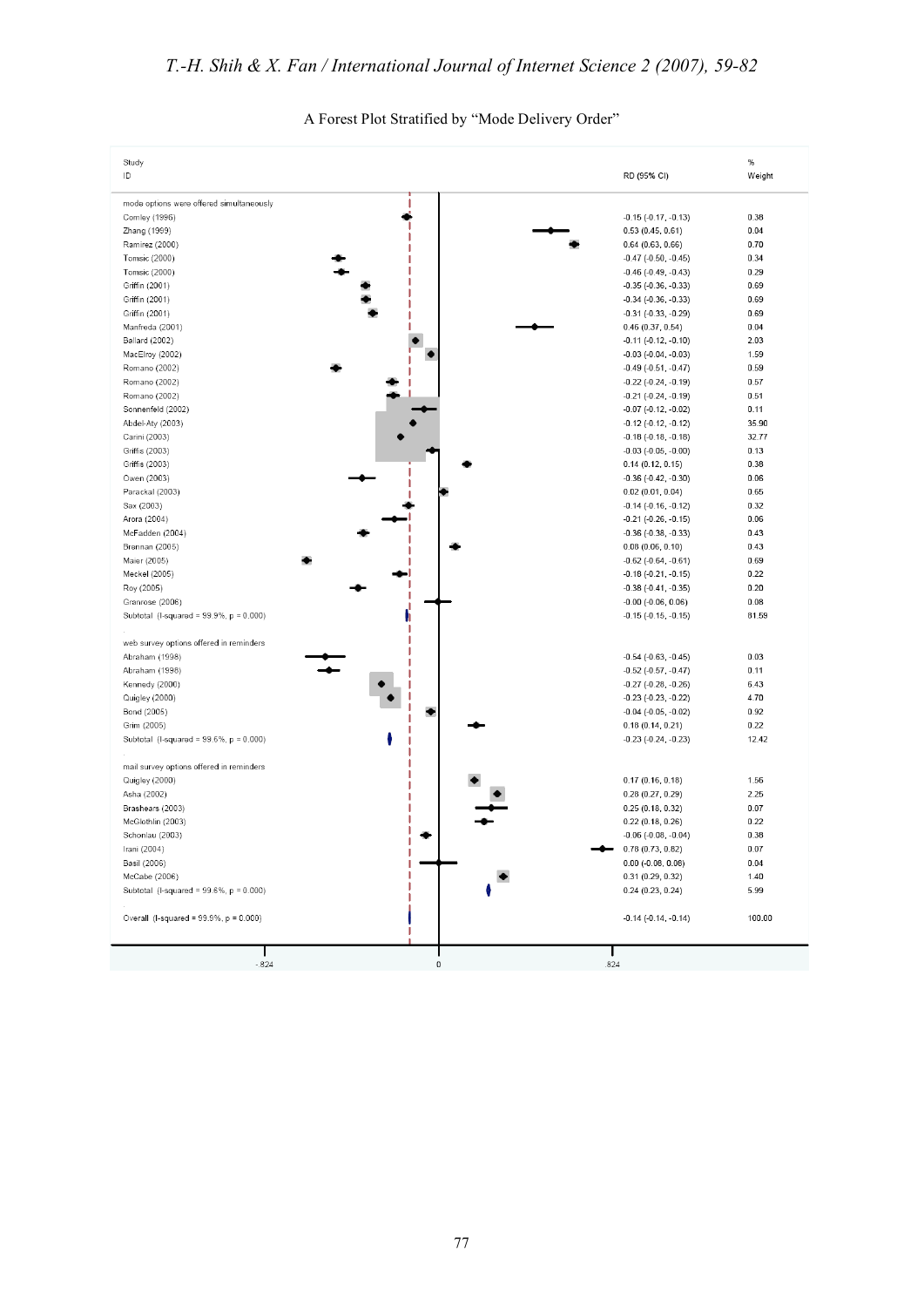| Study                                          |                                                      | $\%$         |
|------------------------------------------------|------------------------------------------------------|--------------|
| ID                                             | RD (95% CI)                                          | Weight       |
| mode options were offered simultaneously       |                                                      |              |
| Comley (1996)                                  | $-0.15$ $(-0.17, -0.13)$                             | 0.38         |
| Zhang (1999)                                   | 0.53(0.45, 0.61)                                     | 0.04         |
| Ramirez (2000)                                 | 0.64(0.63, 0.66)                                     | 0.70         |
| Tomsic (2000)                                  | $-0.47$ $(-0.50, -0.45)$                             | 0.34         |
| Tomsic (2000)                                  | $-0.46$ $(-0.49, -0.43)$                             | 0.29         |
| Griffin (2001)                                 | $-0.35$ $(-0.36, -0.33)$                             | 0.69         |
| Griffin (2001)                                 | $-0.34$ $(-0.36, -0.33)$                             | 0.69         |
| Griffin (2001)                                 | $-0.31(-0.33,-0.29)$                                 | 0.69         |
| Manfreda (2001)                                | 0.46(0.37, 0.54)                                     | 0.04         |
| <b>Ballard (2002)</b>                          | $-0.11(-0.12,-0.10)$                                 | 2.03         |
| MacElroy (2002)                                | $-0.03$ $(-0.04, -0.03)$                             | 1.59         |
| Romano (2002)                                  | $-0.49$ $(-0.51, -0.47)$                             | 0.59         |
| Romano (2002)                                  | $-0.22$ $(-0.24, -0.19)$                             | 0.57         |
| Romano (2002)                                  | $-0.21$ $(-0.24, -0.19)$                             | 0.51         |
| Sonnenfeld (2002)                              | $-0.07$ $(-0.12, -0.02)$                             | 0.11         |
| Abdel-Aty (2003)                               | $-0.12$ $(-0.12, -0.12)$                             | 35.90        |
| Carini (2003)                                  | $-0.18(-0.18,-0.18)$                                 | 32.77        |
| Griffis (2003)                                 | $-0.03$ $(-0.05, -0.00)$                             | 0.13         |
| Griffis (2003)                                 | 0.14(0.12, 0.15)                                     | 0.38         |
| Owen (2003)                                    | $-0.36(-0.42,-0.30)$                                 | 0.06         |
| Parackal (2003)                                | 0.02(0.01, 0.04)                                     | 0.65         |
| Sax (2003)                                     | $-0.14$ $(-0.16, -0.12)$                             | 0.32         |
| Arora (2004)                                   | $-0.21$ $(-0.26, -0.15)$                             | 0.06         |
| McFadden (2004)                                | $-0.36$ $(-0.38, -0.33)$                             | 0.43         |
| Brennan (2005)                                 | 0.08(0.06, 0.10)                                     | 0.43         |
| Maier (2005)                                   | $-0.62$ $(-0.64, -0.61)$                             | 0.69         |
| Meckel (2005)                                  | $-0.18(-0.21,-0.15)$                                 | 0.22         |
| Roy (2005)                                     | $-0.38$ $(-0.41, -0.35)$                             | 0.20         |
| Granrose (2006)                                | $-0.00$ $(-0.06, 0.06)$                              | 0.08         |
| Subtotal (I-squared = 99.9%, p = 0.000)        | $-0.15(-0.15,-0.15)$                                 | 81.59        |
|                                                |                                                      |              |
| web survey options offered in reminders        |                                                      |              |
| Abraham (1998)                                 | $-0.54$ $(-0.63, -0.45)$                             | 0.03         |
| Abraham (1998)                                 | $-0.52$ $(-0.57, -0.47)$                             | 0.11<br>6.43 |
| Kennedy (2000)                                 | $-0.27$ $(-0.28, -0.26)$<br>$-0.23$ $(-0.23, -0.22)$ | 4.70         |
| Quigley (2000)<br>Bond (2005)                  | $-0.04$ $(-0.05, -0.02)$                             | 0.92         |
| Grim (2005)                                    | 0.18(0.14, 0.21)                                     | 0.22         |
| Subtotal (I-squared = $99.6\%$ , $p = 0.000$ ) | $-0.23$ $(-0.24, -0.23)$                             | 12.42        |
|                                                |                                                      |              |
| mail survey options offered in reminders       |                                                      |              |
| Quigley (2000)                                 | 0.17(0.16, 0.18)                                     | 1.56         |
| Asha (2002)                                    | 0.28(0.27, 0.29)                                     | 2.25         |
| Brashears (2003)                               | 0.25(0.18, 0.32)                                     | 0.07         |
| McGlothlin (2003)                              | 0.22(0.18, 0.26)                                     | 0.22         |
| Schonlau (2003)                                | $-0.06$ $(-0.08, -0.04)$                             | 0.38         |
| Irani (2004)                                   | 0.78 (0.73, 0.82)                                    | 0.07         |
| Basil (2006)                                   | $0.00$ (-0.08, 0.08)                                 | 0.04         |
| McCabe (2006)                                  | 0.31(0.29, 0.32)                                     | 1.40         |
| Subtotal (I-squared = 99.6%, p = 0.000)        | 0.24(0.23, 0.24)                                     | 5.99         |
|                                                |                                                      |              |
| Overall (I-squared = 99.9%, p = 0.000)         | $-0.14$ $(-0.14, -0.14)$                             | 100.00       |
|                                                |                                                      |              |
| ш                                              |                                                      |              |
| $-.824$<br>0                                   | .824                                                 |              |

# A Forest Plot Stratified by "Mode Delivery Order"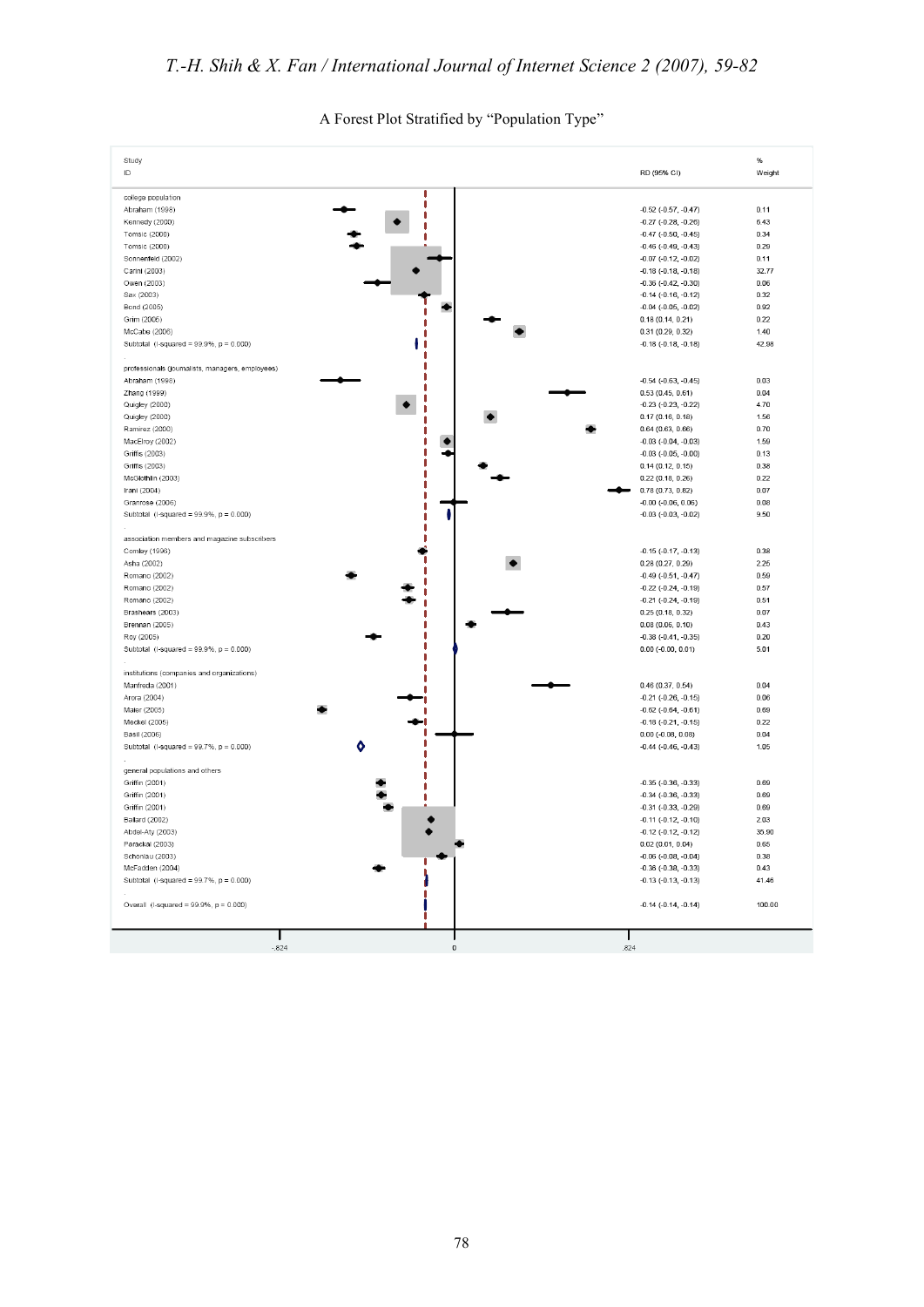| Study                                            |                               | %      |
|--------------------------------------------------|-------------------------------|--------|
| ID                                               | RD (95% CI)                   | Weight |
|                                                  |                               |        |
| college population                               |                               |        |
| Abraham (1998)                                   | $-0.52$ ( $-0.57$ , $-0.47$ ) | 0.11   |
| Kennedy (2000)                                   | $-0.27$ $(-0.28, -0.26)$      | 6.43   |
| Tomsic (2000)                                    | $-0.47$ $(-0.50, -0.45)$      | 0.34   |
| Tomsic (2000)                                    | $-0.46$ $(-0.49, -0.43)$      | 0.29   |
| Sonnenfeld (2002)                                | $-0.07$ $(-0.12, -0.02)$      | 0.11   |
| Carini (2003)                                    | $-0.18$ $(-0.18, -0.18)$      | 32.77  |
| Owen (2003)                                      | $-0.36$ $(-0.42, -0.30)$      | 0.06   |
| Sax (2003)                                       | $-0.14$ $(-0.16, -0.12)$      | 0.32   |
| Bond (2005)                                      | $-0.04$ ( $-0.05$ , $-0.02$ ) | 0.92   |
| Grim (2005)                                      | 0.18(0.14, 0.21)              | 0.22   |
| McCabe (2006)                                    | 0.31 (0.29, 0.32)             | 1.40   |
| Subtotal (I-squared = 99.9%, $p = 0.000$ )       | $-0.18(-0.18,-0.18)$          | 42.98  |
|                                                  |                               |        |
| professionals (journalists, managers, employees) |                               |        |
| Abraham (1998)                                   | $-0.54$ ( $-0.63$ , $-0.45$ ) | 0.03   |
| Zhang (1999)                                     | 0.53(0.45, 0.61)              | 0.04   |
| Quigley (2000)                                   | $-0.23$ $(-0.23, -0.22)$      | 4.70   |
| Quigley (2000)                                   | 0.17(0.16, 0.18)              | 1.56   |
| Ramirez (2000)                                   | 0.64(0.63, 0.66)              | 0.70   |
| MacElroy (2002)                                  | $-0.03$ $(-0.04, -0.03)$      | 1.59   |
| Griffis (2003)                                   | $-0.03$ $(-0.05, -0.00)$      | 0.13   |
| Griffis (2003)                                   | 0.14(0.12, 0.15)              | 0.38   |
| McGlothlin (2003)                                | 0.22(0.18, 0.26)              | 0.22   |
| Irani (2004)                                     | 0.78 (0.73, 0.82)             | 0.07   |
| Granrose (2006)                                  | $-0.00$ $(-0.06, 0.06)$       | 0.08   |
| Subtotal (I-squared = 99.9%, p = 0.000)          | $-0.03$ $(-0.03, -0.02)$      | 9.50   |
|                                                  |                               |        |
| association members and magazine subscribers     |                               |        |
| Comley (1996)                                    | $-0.15 (-0.17, -0.13)$        | 0.38   |
| Asha (2002)                                      | 0.28(0.27, 0.29)              | 2.25   |
| Romano (2002)                                    | $-0.49(-0.51,-0.47)$          | 0.59   |
| Romano (2002)                                    | $-0.22$ $(-0.24, -0.19)$      | 0.57   |
| Romano (2002)                                    | $-0.21$ $(-0.24, -0.19)$      | 0.51   |
| Brashears (2003)                                 | 0.25(0.18, 0.32)              | 0.07   |
| Brennan (2005)                                   | 0.08(0.06, 0.10)              | 0.43   |
| Roy (2005)                                       | $-0.38$ $(-0.41, -0.35)$      | 0.20   |
| Subtotal (I-squared = $99.9\%$ , $p = 0.000$ )   | $0.00$ (-0.00, 0.01)          | 5.01   |
| institutions (companies and organizations)       |                               |        |
| Manfreda (2001)                                  | 0.46(0.37, 0.54)              | 0.04   |
| Arora (2004)                                     | $-0.21$ $(-0.26, -0.15)$      | 0.06   |
| Maier (2005)                                     | $-0.62$ ( $-0.64$ , $-0.61$ ) | 0.69   |
| Meckel (2005)                                    | $-0.18 (-0.21, -0.15)$        | 0.22   |
| Basil (2006)                                     | $0.00$ (-0.08, 0.08)          | 0.04   |
| Subtotal (I-squared = $99.7\%$ , $p = 0.000$ )   | $-0.44$ $(-0.46, -0.43)$      | 1.05   |
|                                                  |                               |        |
| general populations and others                   |                               |        |
| Griffin (2001)                                   | $-0.35$ $(-0.36, -0.33)$      | 0.69   |
| Griffin (2001)                                   | $-0.34$ $(-0.36, -0.33)$      | 0.69   |
| Griffin (2001)                                   | $-0.31$ $(-0.33, -0.29)$      | 0.69   |
| Ballard (2002)                                   | $-0.11$ $(-0.12, -0.10)$      | 2.03   |
| Abdel-Aty (2003)                                 | $-0.12$ $(-0.12, -0.12)$      | 35.90  |
| Parackal (2003)                                  | 0.02(0.01, 0.04)              | 0.65   |
| Schonlau (2003)                                  | $-0.06$ $(-0.08, -0.04)$      | 0.38   |
| McFadden (2004)                                  | $-0.36$ $(-0.38, -0.33)$      | 0.43   |
| Subtotal (I-squared = $99.7\%$ , $p = 0.000$ )   | $-0.13 (-0.13, -0.13)$        | 41.46  |
|                                                  |                               |        |
| Overall (I-squared = 99.9%, p = 0.000)           | $-0.14$ $(-0.14, -0.14)$      | 100.00 |
|                                                  |                               |        |
|                                                  |                               |        |
| 82/<br>92A<br>$\Omega$                           |                               |        |

# A Forest Plot Stratified by "Population Type"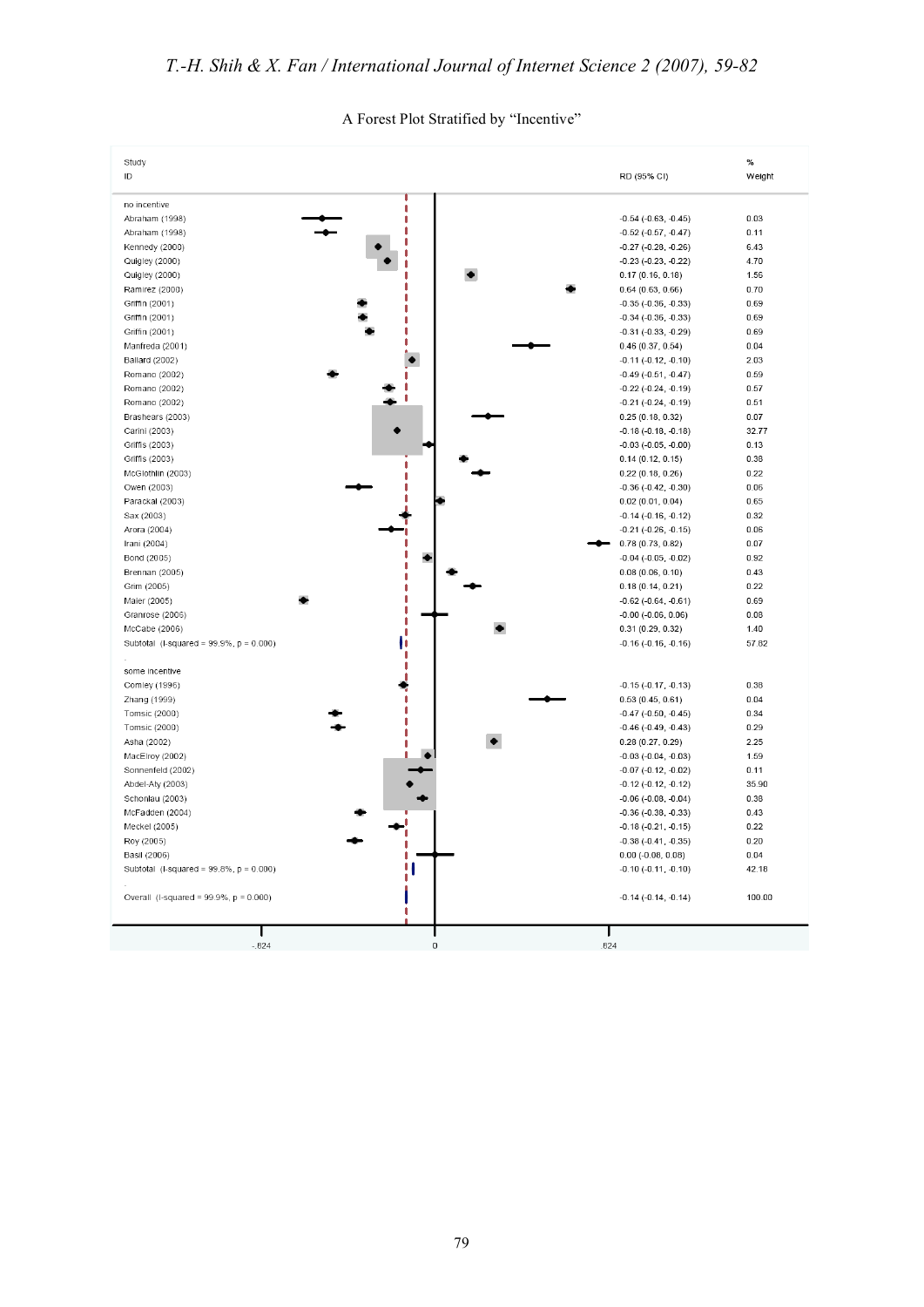| Study                                          |                               | %      |
|------------------------------------------------|-------------------------------|--------|
| ID                                             | RD (95% CI)                   | Weight |
|                                                |                               |        |
| no incentive                                   |                               |        |
| Abraham (1998)                                 | $-0.54$ ( $-0.63$ , $-0.45$ ) | 0.03   |
| Abraham (1998)                                 | $-0.52$ ( $-0.57$ , $-0.47$ ) | 0.11   |
| Kennedy (2000)                                 | $-0.27$ $(-0.28, -0.26)$      | 6.43   |
| Quigley (2000)                                 | $-0.23(-0.23,-0.22)$          | 4.70   |
| Quigley (2000)                                 | 0.17(0.16, 0.18)              | 1.56   |
| Ramirez (2000)                                 | $0.64$ (0.63, 0.66)           | 0.70   |
| Griffin (2001)                                 | $-0.35$ $(-0.36, -0.33)$      | 0.69   |
| Griffin (2001)                                 | $-0.34$ ( $-0.36$ , $-0.33$ ) | 0.69   |
| Griffin (2001)                                 | $-0.31$ $(-0.33, -0.29)$      | 0.69   |
| Manfreda (2001)                                | 0.46(0.37, 0.54)              | 0.04   |
| <b>Ballard (2002)</b>                          | $-0.11$ $(-0.12, -0.10)$      | 2.03   |
| Romano (2002)                                  | $-0.49$ $(-0.51, -0.47)$      | 0.59   |
| Romano (2002)                                  | $-0.22$ $(-0.24, -0.19)$      | 0.57   |
| Romano (2002)                                  | $-0.21$ $(-0.24, -0.19)$      | 0.51   |
| Brashears (2003)                               | 0.25(0.18, 0.32)              | 0.07   |
| Carini (2003)                                  | $-0.18$ $(-0.18, -0.18)$      | 32.77  |
| Griffis (2003)                                 | $-0.03$ $(-0.05, -0.00)$      | 0.13   |
| Griffis (2003)                                 | 0.14(0.12, 0.15)              | 0.38   |
| McGlothlin (2003)                              | 0.22(0.18, 0.26)              | 0.22   |
| Owen (2003)                                    | $-0.36$ $(-0.42, -0.30)$      | 0.06   |
| Parackal (2003)                                | 0.02(0.01, 0.04)              | 0.65   |
| Sax (2003)                                     | $-0.14$ ( $-0.16$ , $-0.12$ ) | 0.32   |
| Arora (2004)                                   | $-0.21$ ( $-0.26$ , $-0.15$ ) | 0.06   |
| Irani (2004)                                   | 0.78(0.73, 0.82)              | 0.07   |
| Bond (2005)                                    | $-0.04$ $(-0.05, -0.02)$      | 0.92   |
| Brennan (2005)                                 | 0.08(0.06, 0.10)              | 0.43   |
| Grim (2005)                                    | 0.18(0.14, 0.21)              | 0.22   |
| Maier (2005)                                   | $-0.62$ $(-0.64, -0.61)$      | 0.69   |
| Granrose (2006)                                | $-0.00$ $(-0.06, 0.06)$       | 0.08   |
| McCabe (2006)                                  | 0.31(0.29, 0.32)              | 1.40   |
| Subtotal (I-squared = $99.9\%$ , $p = 0.000$ ) | $-0.16$ ( $-0.16$ , $-0.16$ ) | 57.82  |
| some incentive                                 |                               |        |
| Comley (1996)                                  | $-0.15(-0.17,-0.13)$          | 0.38   |
| Zhang (1999)                                   | 0.53(0.45, 0.61)              | 0.04   |
| Tomsic (2000)                                  | $-0.47$ $(-0.50, -0.45)$      | 0.34   |
| Tomsic (2000)                                  | $-0.46$ $(-0.49, -0.43)$      | 0.29   |
| Asha (2002)                                    | 0.28(0.27, 0.29)              | 2.25   |
| MacElroy (2002)                                | $-0.03$ $(-0.04, -0.03)$      | 1.59   |
| Sonnenfeld (2002)                              | $-0.07$ $(-0.12, -0.02)$      | 0.11   |
| Abdel-Aty (2003)                               | $-0.12$ $(-0.12, -0.12)$      | 35.90  |
| Schonlau (2003)                                | $-0.06$ $(-0.08, -0.04)$      | 0.38   |
| McFadden (2004)                                | $-0.36$ $(-0.38, -0.33)$      | 0.43   |
| Meckel (2005)                                  | $-0.18(-0.21,-0.15)$          | 0.22   |
| Roy (2005)                                     | $-0.38(-0.41,-0.35)$          | 0.20   |
| Basil (2006)                                   | $0.00$ (-0.08, 0.08)          | 0.04   |
| Subtotal (I-squared = 99.8%, p = 0.000)        | $-0.10(-0.11,-0.10)$          | 42.18  |
| Overall (I-squared = 99.9%, p = 0.000)         | $-0.14 (-0.14, -0.14)$        | 100.00 |
|                                                |                               |        |
|                                                |                               |        |
| $-824$<br>0                                    | 824                           |        |

# A Forest Plot Stratified by "Incentive"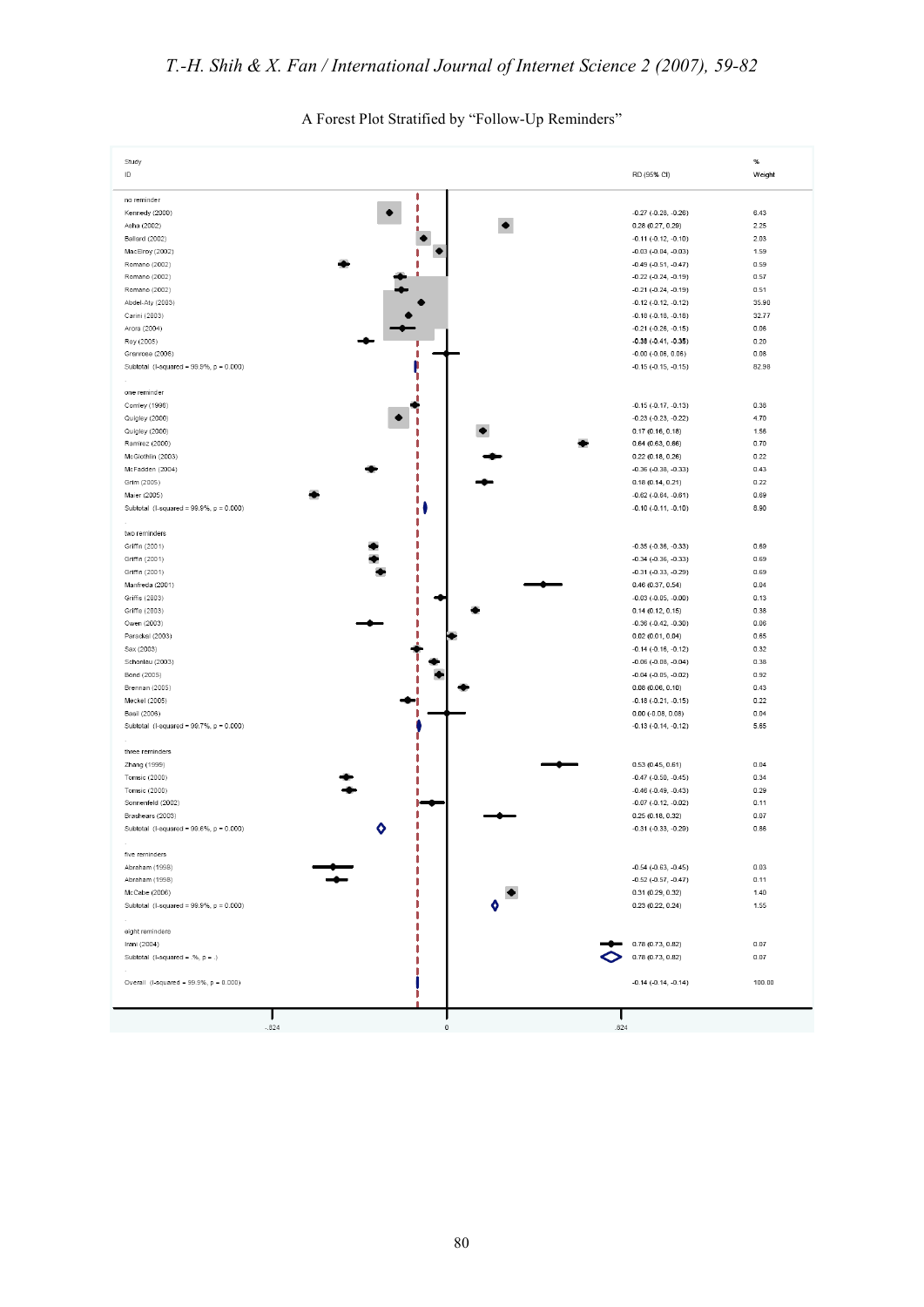| Study                                               |                               | %      |
|-----------------------------------------------------|-------------------------------|--------|
| ID                                                  | RD (95% CI)                   | Weight |
|                                                     |                               |        |
| ſ<br>no reminder                                    |                               |        |
| Kennedy (2000)                                      | $-0.27$ $(-0.28, -0.26)$      | 6.43   |
| Asha (2002)                                         | 0.28(0.27, 0.29)              | 2.25   |
| <b>Ballard</b> (2002)                               | $-0.11$ $(-0.12, -0.10)$      | 2.03   |
| MacElroy (2002)                                     | $-0.03$ $(-0.04, -0.03)$      | 1.59   |
| Romano (2002)                                       | $-0.49$ $(-0.51, -0.47)$      | 0.59   |
| Romano (2002)                                       | $-0.22$ $(-0.24, -0.19)$      | 0.57   |
| Romano (2002)                                       | $-0.21$ $(-0.24, -0.19)$      | 0.51   |
| Abdel-Aty (2003)                                    | $-0.12$ $(-0.12, -0.12)$      | 35.90  |
| Carini (2003)                                       | $-0.18(-0.18,-0.18)$          | 32.77  |
| Arora (2004)                                        | $-0.21$ $(-0.26, -0.15)$      | 0.06   |
|                                                     | $-0.38(-0.41,-0.35)$          | 0.20   |
| Roy (2005)<br>Granrose (2006)                       |                               | 0.08   |
|                                                     | $-0.00$ $(-0.06, 0.06)$       | 82.98  |
| Subtotal (I-squared = 99.9%, p = 0.000)             | $-0.15 (-0.15, -0.15)$        |        |
|                                                     |                               |        |
| one reminder                                        |                               |        |
| Comley (1996)                                       | $-0.15(-0.17,-0.13)$          | 0.38   |
| Quigley (2000)                                      | $-0.23$ $(-0.23, -0.22)$      | 4.70   |
| Quigley (2000)                                      | 0.17(0.16, 0.18)              | 1.56   |
| Ramirez (2000)                                      | 0.64(0.63, 0.66)              | 0.70   |
| McGlothlin (2003)                                   | 0.22(0.18, 0.26)              | 0.22   |
| McFadden (2004)                                     | $-0.36$ $(-0.38, -0.33)$      | 0.43   |
| Grim (2005)                                         | 0.18(0.14, 0.21)              | 0.22   |
| Maier (2005)                                        | $-0.62$ ( $-0.64$ , $-0.61$ ) | 0.69   |
| Subtotal (I-squared = $99.9\%$ , $p = 0.000$ )<br>ı | $-0.10(-0.11,-0.10)$          | 8.90   |
|                                                     |                               |        |
| two reminders                                       |                               |        |
| Griffin (2001)                                      | $-0.35$ $(-0.36, -0.33)$      | 0.69   |
| Griffin (2001)                                      | $-0.34$ $(-0.36, -0.33)$      | 0.69   |
| Griffin (2001)                                      | $-0.31$ $(-0.33, -0.29)$      | 0.69   |
| Manfreda (2001)                                     | 0.46(0.37, 0.54)              | 0.04   |
| Griffis (2003)                                      | $-0.03$ $(-0.05, -0.00)$      | 0.13   |
| Griffis (2003)                                      | 0.14(0.12, 0.15)              | 0.38   |
| Owen (2003)                                         | $-0.36$ $(-0.42, -0.30)$      | 0.06   |
| Parackal (2003)                                     | 0.02(0.01, 0.04)              | 0.65   |
|                                                     |                               |        |
| Sax (2003)                                          | $-0.14$ $(-0.16, -0.12)$      | 0.32   |
| Schonlau (2003)                                     | $-0.06$ $(-0.08, -0.04)$      | 0.38   |
| Bond (2005)                                         | $-0.04$ ( $-0.05$ , $-0.02$ ) | 0.92   |
| Brennan (2005)                                      | 0.08(0.06, 0.10)              | 0.43   |
| Meckel (2005)                                       | $-0.18(-0.21,-0.15)$          | 0.22   |
| Basil (2006)                                        | $0.00$ (-0.08, 0.08)          | 0.04   |
| Subtotal (I-squared = 99.7%, p = 0.000)             | $-0.13(-0.14,-0.12)$          | 5.65   |
|                                                     |                               |        |
| three reminders                                     |                               |        |
| Zhang (1999)                                        | 0.53(0.45, 0.61)              | 0.04   |
| Tomsic (2000)                                       | $-0.47$ $(-0.50, -0.45)$      | 0.34   |
| Tomsic (2000)                                       | $-0.46$ $(-0.49, -0.43)$      | 0.29   |
| Sonnenfeld (2002)                                   | $-0.07$ $(-0.12, -0.02)$      | 0.11   |
| Brashears (2003)                                    | 0.25(0.18, 0.32)              | 0.07   |
| Subtotal (I-squared = 99.6%, p = 0.000)             | $-0.31$ $(-0.33, -0.29)$      | 0.86   |
|                                                     |                               |        |
| five reminders                                      |                               |        |
| Abraham (1998)                                      | $-0.54$ ( $-0.63$ , $-0.45$ ) | 0.03   |
| Abraham (1998)                                      | $-0.52$ ( $-0.57$ , $-0.47$ ) | 0.11   |
| McCabe (2006)                                       | 0.31 (0.29, 0.32)             | 1.40   |
| Subtotal (I-squared = 99.9%, p = 0.000)             | 0.23(0.22, 0.24)              | 1.55   |
|                                                     |                               |        |
|                                                     |                               |        |
| eight reminders                                     |                               |        |
| Irani (2004)                                        | 0.78(0.73, 0.82)              | 0.07   |
| Subtotal $(I-squared = .% , p = .)$                 | 0.78 (0.73, 0.82)             | 0.07   |
|                                                     |                               |        |
| Overall (I-squared = 99.9%, p = 0.000)              | $-0.14 (-0.14, -0.14)$        | 100.00 |
|                                                     |                               |        |
|                                                     |                               |        |
| $-.824$<br>0<br>.824                                |                               |        |

# A Forest Plot Stratified by "Follow-Up Reminders"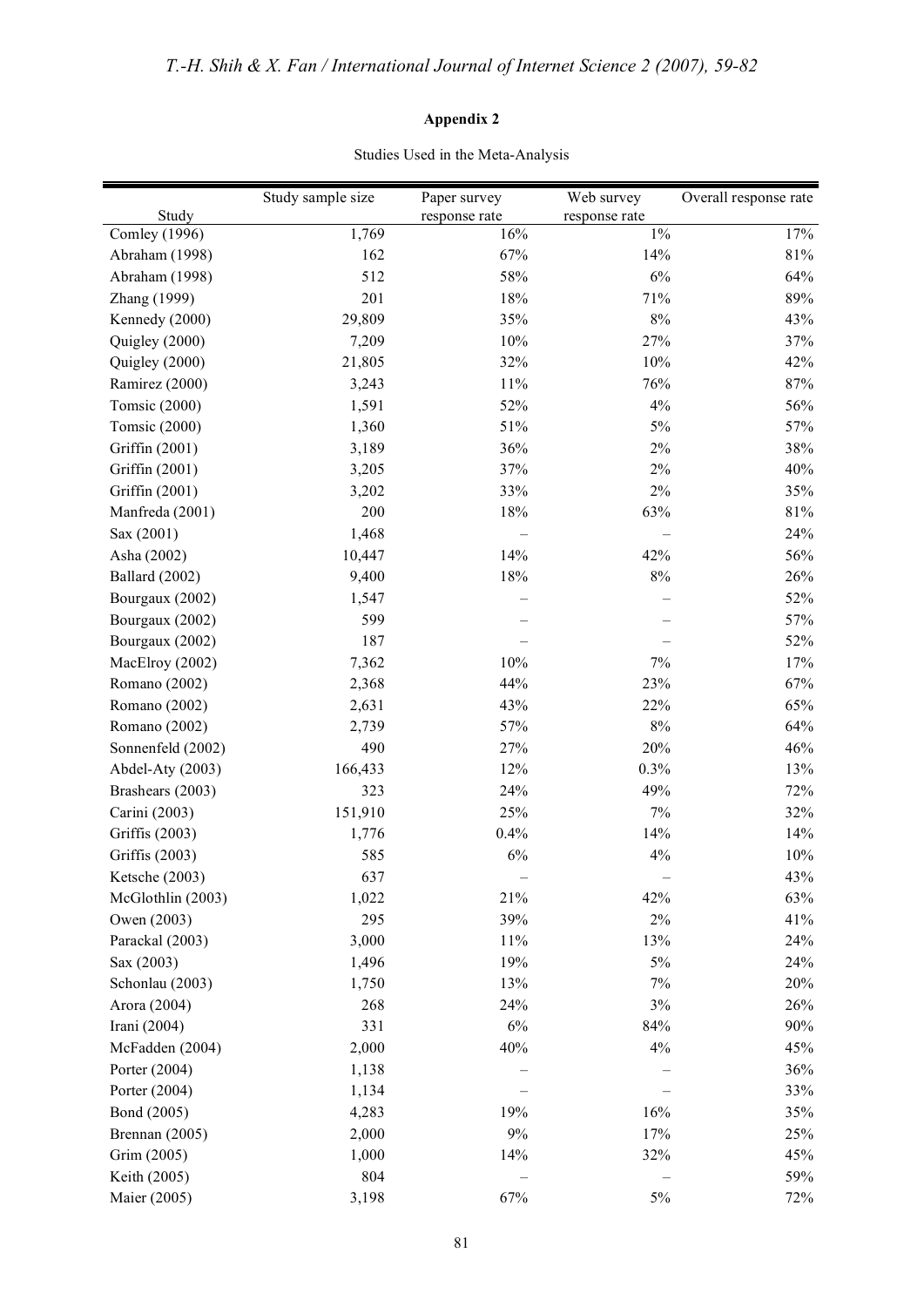## **Appendix 2**

|                   | Study sample size | Paper survey  | Web survey    | Overall response rate |
|-------------------|-------------------|---------------|---------------|-----------------------|
| Study             |                   | response rate | response rate |                       |
| Comley (1996)     | 1,769             | 16%           | $1\%$         | 17%                   |
| Abraham (1998)    | 162               | 67%           | 14%           | $81\%$                |
| Abraham (1998)    | 512               | 58%           | 6%            | 64%                   |
| Zhang (1999)      | 201               | 18%           | 71%           | 89%                   |
| Kennedy (2000)    | 29,809            | 35%           | $8\%$         | 43%                   |
| Quigley (2000)    | 7,209             | 10%           | 27%           | 37%                   |
| Quigley (2000)    | 21,805            | 32%           | 10%           | 42%                   |
| Ramirez (2000)    | 3,243             | 11%           | 76%           | 87%                   |
| Tomsic (2000)     | 1,591             | 52%           | 4%            | 56%                   |
| Tomsic (2000)     | 1,360             | 51%           | 5%            | 57%                   |
| Griffin (2001)    | 3,189             | 36%           | $2\%$         | 38%                   |
| Griffin (2001)    | 3,205             | 37%           | $2\%$         | 40%                   |
| Griffin (2001)    | 3,202             | 33%           | $2\%$         | 35%                   |
| Manfreda (2001)   | 200               | 18%           | 63%           | $81\%$                |
| Sax (2001)        | 1,468             |               |               | 24%                   |
| Asha (2002)       | 10,447            | 14%           | 42%           | 56%                   |
| Ballard (2002)    | 9,400             | 18%           | $8\%$         | 26%                   |
| Bourgaux (2002)   | 1,547             |               |               | 52%                   |
| Bourgaux (2002)   | 599               |               |               | 57%                   |
| Bourgaux (2002)   | 187               |               |               | 52%                   |
| MacElroy (2002)   | 7,362             | 10%           | 7%            | 17%                   |
| Romano (2002)     | 2,368             | 44%           | 23%           | 67%                   |
| Romano (2002)     | 2,631             | 43%           | 22%           | 65%                   |
| Romano (2002)     | 2,739             | 57%           | $8\%$         | 64%                   |
| Sonnenfeld (2002) | 490               | 27%           | 20%           | 46%                   |
| Abdel-Aty (2003)  | 166,433           | 12%           | 0.3%          | 13%                   |
| Brashears (2003)  | 323               | 24%           | 49%           | 72%                   |
| Carini (2003)     | 151,910           | 25%           | 7%            | 32%                   |
| Griffis (2003)    | 1,776             | 0.4%          | 14%           | 14%                   |
| Griffis (2003)    | 585               | $6\%$         | 4%            | 10%                   |
|                   |                   |               |               |                       |
| Ketsche (2003)    | 637               |               |               | 43%                   |
| McGlothlin (2003) | 1,022<br>295      | 21%           | 42%           | 63%                   |
| Owen (2003)       |                   | 39%<br>11%    | $2\%$         | 41%                   |
| Parackal (2003)   | 3,000             |               | 13%           | 24%                   |
| Sax (2003)        | 1,496             | 19%           | $5\%$         | 24%                   |
| Schonlau (2003)   | 1,750             | 13%           | $7\%$         | 20%                   |
| Arora (2004)      | 268               | 24%           | 3%            | 26%                   |
| Irani (2004)      | 331               | 6%            | 84%           | 90%                   |
| McFadden (2004)   | 2,000             | 40%           | 4%            | 45%                   |
| Porter (2004)     | 1,138             |               |               | 36%                   |
| Porter (2004)     | 1,134             |               |               | 33%                   |
| Bond (2005)       | 4,283             | 19%           | 16%           | 35%                   |
| Brennan (2005)    | 2,000             | $9\%$         | 17%           | 25%                   |
| Grim (2005)       | 1,000             | 14%           | 32%           | 45%                   |
| Keith (2005)      | 804               |               |               | 59%                   |
| Maier (2005)      | 3,198             | 67%           | $5\%$         | 72%                   |

Studies Used in the Meta-Analysis